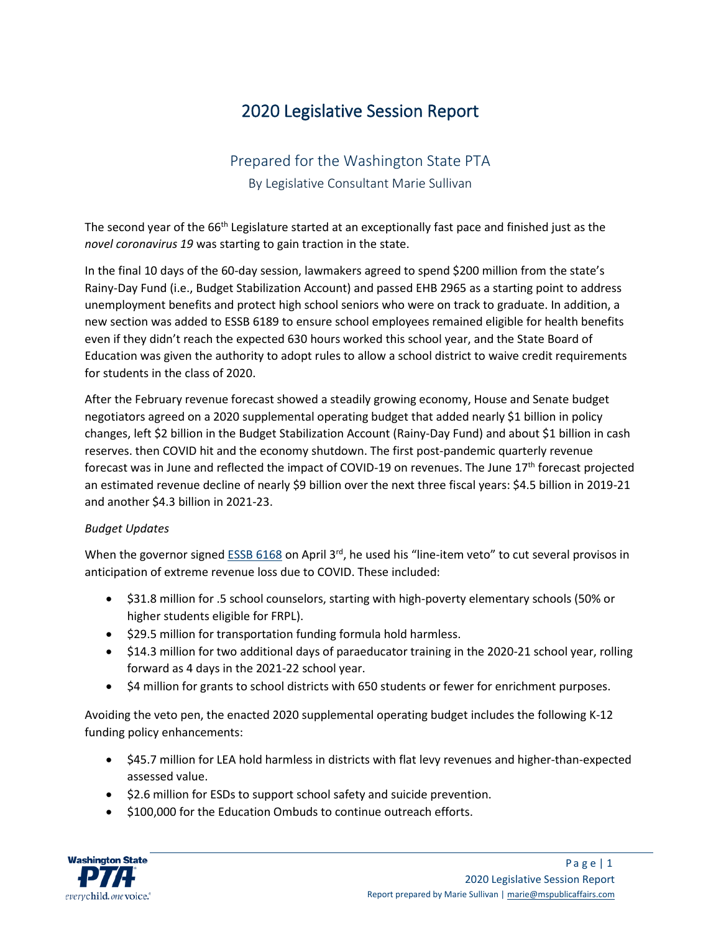# 2020 Legislative Session Report

# Prepared for the Washington State PTA

By Legislative Consultant Marie Sullivan

The second year of the 66<sup>th</sup> Legislature started at an exceptionally fast pace and finished just as the *novel coronavirus 19* was starting to gain traction in the state.

In the final 10 days of the 60-day session, lawmakers agreed to spend \$200 million from the state's Rainy-Day Fund (i.e., Budget Stabilization Account) and passed EHB 2965 as a starting point to address unemployment benefits and protect high school seniors who were on track to graduate. In addition, a new section was added to ESSB 6189 to ensure school employees remained eligible for health benefits even if they didn't reach the expected 630 hours worked this school year, and the State Board of Education was given the authority to adopt rules to allow a school district to waive credit requirements for students in the class of 2020.

After the February revenue forecast showed a steadily growing economy, House and Senate budget negotiators agreed on a 2020 supplemental operating budget that added nearly \$1 billion in policy changes, left \$2 billion in the Budget Stabilization Account (Rainy-Day Fund) and about \$1 billion in cash reserves. then COVID hit and the economy shutdown. The first post-pandemic quarterly revenue forecast was in June and reflected the impact of COVID-19 on revenues. The June 17<sup>th</sup> forecast projected an estimated revenue decline of nearly \$9 billion over the next three fiscal years: \$4.5 billion in 2019-21 and another \$4.3 billion in 2021-23.

# *Budget Updates*

When the governor signe[d ESSB 6168](https://app.leg.wa.gov/billsummary?BillNumber=6168&Initiative=false&Year=2019) on April 3<sup>rd</sup>, he used his "line-item veto" to cut several provisos in anticipation of extreme revenue loss due to COVID. These included:

- \$31.8 million for .5 school counselors, starting with high-poverty elementary schools (50% or higher students eligible for FRPL).
- \$29.5 million for transportation funding formula hold harmless.
- \$14.3 million for two additional days of paraeducator training in the 2020-21 school year, rolling forward as 4 days in the 2021-22 school year.
- \$4 million for grants to school districts with 650 students or fewer for enrichment purposes.

Avoiding the veto pen, the enacted 2020 supplemental operating budget includes the following K-12 funding policy enhancements:

- \$45.7 million for LEA hold harmless in districts with flat levy revenues and higher-than-expected assessed value.
- \$2.6 million for ESDs to support school safety and suicide prevention.
- \$100,000 for the Education Ombuds to continue outreach efforts.

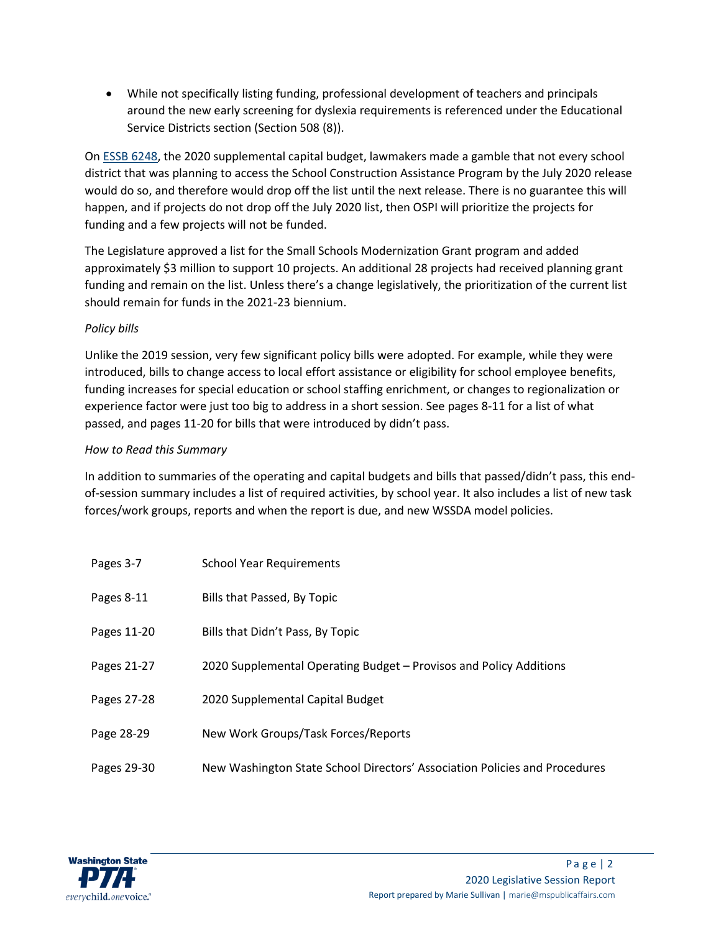• While not specifically listing funding, professional development of teachers and principals around the new early screening for dyslexia requirements is referenced under the Educational Service Districts section (Section 508 (8)).

O[n ESSB 6248,](https://app.leg.wa.gov/billsummary?BillNumber=6248&Year=2019&Initiative=false) the 2020 supplemental capital budget, lawmakers made a gamble that not every school district that was planning to access the School Construction Assistance Program by the July 2020 release would do so, and therefore would drop off the list until the next release. There is no guarantee this will happen, and if projects do not drop off the July 2020 list, then OSPI will prioritize the projects for funding and a few projects will not be funded.

The Legislature approved a list for the Small Schools Modernization Grant program and added approximately \$3 million to support 10 projects. An additional 28 projects had received planning grant funding and remain on the list. Unless there's a change legislatively, the prioritization of the current list should remain for funds in the 2021-23 biennium.

# *Policy bills*

Unlike the 2019 session, very few significant policy bills were adopted. For example, while they were introduced, bills to change access to local effort assistance or eligibility for school employee benefits, funding increases for special education or school staffing enrichment, or changes to regionalization or experience factor were just too big to address in a short session. See pages 8-11 for a list of what passed, and pages 11-20 for bills that were introduced by didn't pass.

# *How to Read this Summary*

In addition to summaries of the operating and capital budgets and bills that passed/didn't pass, this endof-session summary includes a list of required activities, by school year. It also includes a list of new task forces/work groups, reports and when the report is due, and new WSSDA model policies.

| Pages 3-7   | <b>School Year Requirements</b>                                            |
|-------------|----------------------------------------------------------------------------|
| Pages 8-11  | Bills that Passed, By Topic                                                |
| Pages 11-20 | Bills that Didn't Pass, By Topic                                           |
| Pages 21-27 | 2020 Supplemental Operating Budget – Provisos and Policy Additions         |
| Pages 27-28 | 2020 Supplemental Capital Budget                                           |
| Page 28-29  | New Work Groups/Task Forces/Reports                                        |
| Pages 29-30 | New Washington State School Directors' Association Policies and Procedures |

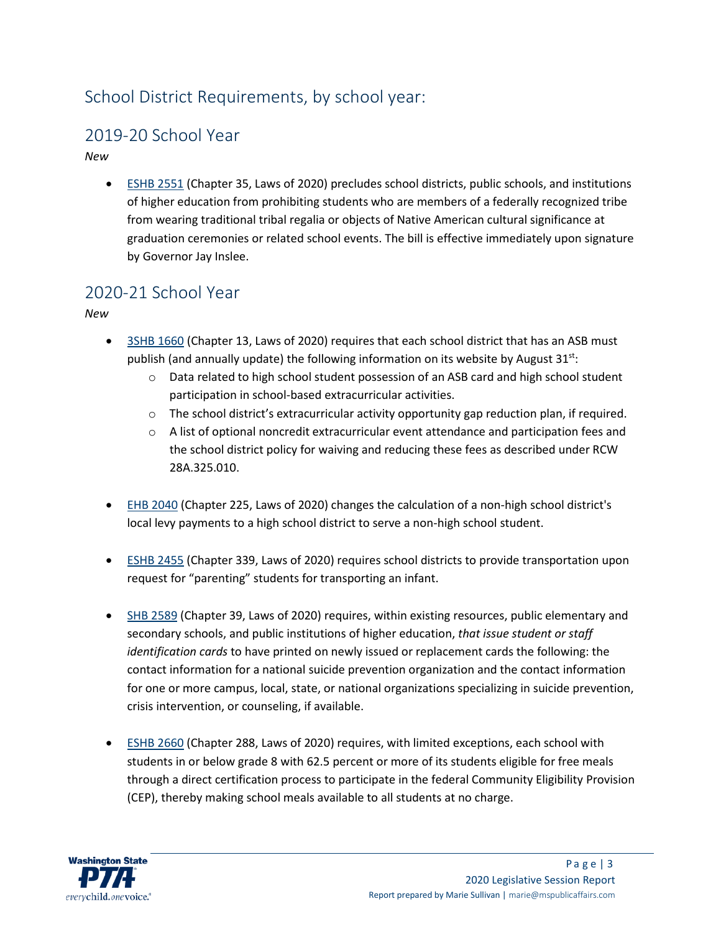# School District Requirements, by school year:

# 2019-20 School Year

*New*

• [ESHB 2551](https://app.leg.wa.gov/billsummary?BillNumber=2551&Initiative=false&Year=2019) (Chapter 35, Laws of 2020) precludes school districts, public schools, and institutions of higher education from prohibiting students who are members of a federally recognized tribe from wearing traditional tribal regalia or objects of Native American cultural significance at graduation ceremonies or related school events. The bill is effective immediately upon signature by Governor Jay Inslee.

# 2020-21 School Year

*New*

- [3SHB 1660](https://app.leg.wa.gov/billsummary?BillNumber=1660&Initiative=false&Year=2019) (Chapter 13, Laws of 2020) requires that each school district that has an ASB must publish (and annually update) the following information on its website by August 31<sup>st</sup>:
	- $\circ$  Data related to high school student possession of an ASB card and high school student participation in school-based extracurricular activities.
	- $\circ$  The school district's extracurricular activity opportunity gap reduction plan, if required.
	- $\circ$  A list of optional noncredit extracurricular event attendance and participation fees and the school district policy for waiving and reducing these fees as described under RCW 28A.325.010.
- [EHB 2040](https://app.leg.wa.gov/billsummary?BillNumber=2040&Initiative=false&Year=2019) (Chapter 225, Laws of 2020) changes the calculation of a non-high school district's local levy payments to a high school district to serve a non-high school student.
- [ESHB 2455](https://app.leg.wa.gov/billsummary?BillNumber=2455&Initiative=false&Year=2019) (Chapter 339, Laws of 2020) requires school districts to provide transportation upon request for "parenting" students for transporting an infant.
- [SHB 2589](https://app.leg.wa.gov/billsummary?BillNumber=2589&Initiative=false&Year=2019) (Chapter 39, Laws of 2020) requires, within existing resources, public elementary and secondary schools, and public institutions of higher education, *that issue student or staff identification cards* to have printed on newly issued or replacement cards the following: the contact information for a national suicide prevention organization and the contact information for one or more campus, local, state, or national organizations specializing in suicide prevention, crisis intervention, or counseling, if available.
- [ESHB 2660](https://app.leg.wa.gov/billsummary?BillNumber=2660&Initiative=false&Year=2019) (Chapter 288, Laws of 2020) requires, with limited exceptions, each school with students in or below grade 8 with 62.5 percent or more of its students eligible for free meals through a direct certification process to participate in the federal Community Eligibility Provision (CEP), thereby making school meals available to all students at no charge.

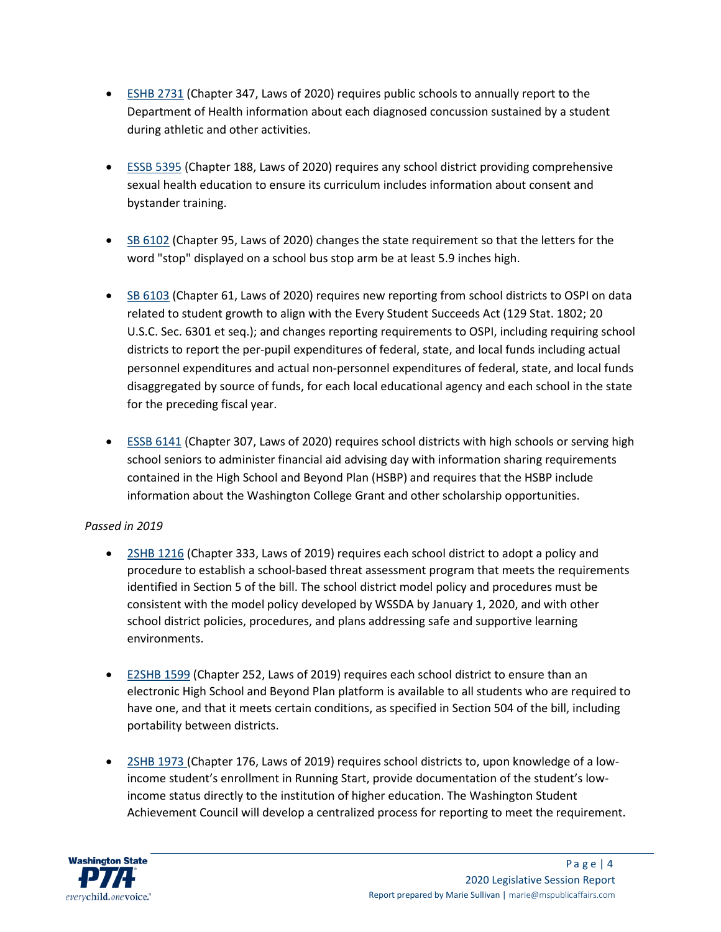- [ESHB 2731](https://app.leg.wa.gov/billsummary?BillNumber=2731&Initiative=false&Year=2019) (Chapter 347, Laws of 2020) requires public schools to annually report to the Department of Health information about each diagnosed concussion sustained by a student during athletic and other activities.
- [ESSB 5395](https://app.leg.wa.gov/billsummary?BillNumber=5395&Initiative=false&Year=2019) (Chapter 188, Laws of 2020) requires any school district providing comprehensive sexual health education to ensure its curriculum includes information about consent and bystander training.
- [SB 6102](https://app.leg.wa.gov/billsummary?BillNumber=6102&Initiative=false&Year=2019) (Chapter 95, Laws of 2020) changes the state requirement so that the letters for the word "stop" displayed on a school bus stop arm be at least 5.9 inches high.
- [SB 6103](https://app.leg.wa.gov/billsummary?BillNumber=6103&Initiative=false&Year=2019) (Chapter 61, Laws of 2020) requires new reporting from school districts to OSPI on data related to student growth to align with the Every Student Succeeds Act (129 Stat. 1802; 20 U.S.C. Sec. 6301 et seq.); and changes reporting requirements to OSPI, including requiring school districts to report the per-pupil expenditures of federal, state, and local funds including actual personnel expenditures and actual non-personnel expenditures of federal, state, and local funds disaggregated by source of funds, for each local educational agency and each school in the state for the preceding fiscal year.
- [ESSB 6141](https://app.leg.wa.gov/billsummary?BillNumber=6141&Initiative=false&Year=2019) (Chapter 307, Laws of 2020) requires school districts with high schools or serving high school seniors to administer financial aid advising day with information sharing requirements contained in the High School and Beyond Plan (HSBP) and requires that the HSBP include information about the Washington College Grant and other scholarship opportunities.

# *Passed in 2019*

- [2SHB 1216](http://lawfilesext.leg.wa.gov/biennium/2019-20/Pdf/Bills/Session%20Laws/House/1216-S2.SL.pdf) (Chapter 333, Laws of 2019) requires each school district to adopt a policy and procedure to establish a school-based threat assessment program that meets the requirements identified in Section 5 of the bill. The school district model policy and procedures must be consistent with the model policy developed by WSSDA by January 1, 2020, and with other school district policies, procedures, and plans addressing safe and supportive learning environments.
- [E2SHB 1599](http://lawfilesext.leg.wa.gov/biennium/2019-20/Pdf/Bills/Session%20Laws/House/1599-S2.SL.pdf) (Chapter 252, Laws of 2019) requires each school district to ensure than an electronic High School and Beyond Plan platform is available to all students who are required to have one, and that it meets certain conditions, as specified in Section 504 of the bill, including portability between districts.
- [2SHB 1973](http://lawfilesext.leg.wa.gov/biennium/2019-20/Pdf/Bills/Session%20Laws/House/1973-S2.SL.pdf) (Chapter 176, Laws of 2019) requires school districts to, upon knowledge of a lowincome student's enrollment in Running Start, provide documentation of the student's lowincome status directly to the institution of higher education. The Washington Student Achievement Council will develop a centralized process for reporting to meet the requirement.

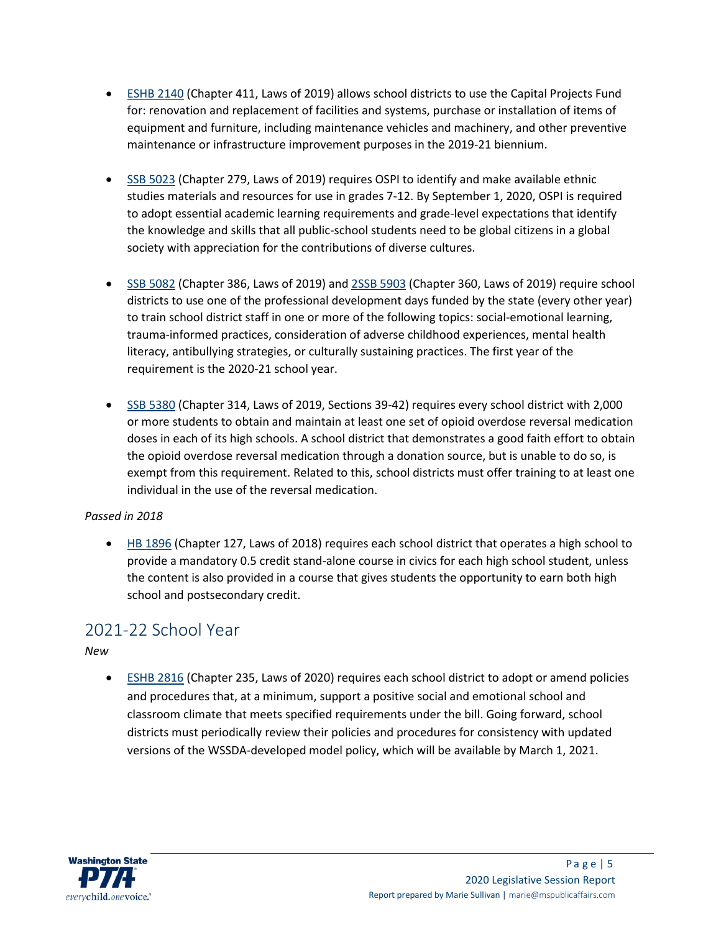- [ESHB 2140](http://lawfilesext.leg.wa.gov/biennium/2019-20/Pdf/Bills/Session%20Laws/House/2140-S.SL.pdf) (Chapter 411, Laws of 2019) allows school districts to use the Capital Projects Fund for: renovation and replacement of facilities and systems, purchase or installation of items of equipment and furniture, including maintenance vehicles and machinery, and other preventive maintenance or infrastructure improvement purposes in the 2019-21 biennium.
- [SSB 5023](https://app.leg.wa.gov/billsummary?BillNumber=5023&Initiative=false&Year=2019) (Chapter 279, Laws of 2019) requires OSPI to identify and make available ethnic studies materials and resources for use in grades 7-12. By September 1, 2020, OSPI is required to adopt essential academic learning requirements and grade-level expectations that identify the knowledge and skills that all public-school students need to be global citizens in a global society with appreciation for the contributions of diverse cultures.
- [SSB 5082](http://lawfilesext.leg.wa.gov/biennium/2019-20/Pdf/Bills/Session%20Laws/Senate/5082-S2.SL.pdf) (Chapter 386, Laws of 2019) an[d 2SSB 5903](http://lawfilesext.leg.wa.gov/biennium/2019-20/Pdf/Bills/Session%20Laws/Senate/5903-S2.SL.pdf) (Chapter 360, Laws of 2019) require school districts to use one of the professional development days funded by the state (every other year) to train school district staff in one or more of the following topics: social-emotional learning, trauma-informed practices, consideration of adverse childhood experiences, mental health literacy, antibullying strategies, or culturally sustaining practices. The first year of the requirement is the 2020-21 school year.
- [SSB 5380](http://lawfilesext.leg.wa.gov/biennium/2019-20/Pdf/Bills/Session%20Laws/Senate/5380-S.SL.pdf) (Chapter 314, Laws of 2019, Sections 39-42) requires every school district with 2,000 or more students to obtain and maintain at least one set of opioid overdose reversal medication doses in each of its high schools. A school district that demonstrates a good faith effort to obtain the opioid overdose reversal medication through a donation source, but is unable to do so, is exempt from this requirement. Related to this, school districts must offer training to at least one individual in the use of the reversal medication.

# *Passed in 2018*

• [HB 1896](http://lawfilesext.leg.wa.gov/biennium/2017-18/Pdf/Bills/Session%20Laws/House/1896-S2.SL.pdf) (Chapter 127, Laws of 2018) requires each school district that operates a high school to provide a mandatory 0.5 credit stand-alone course in civics for each high school student, unless the content is also provided in a course that gives students the opportunity to earn both high school and postsecondary credit.

# 2021-22 School Year

*New*

• [ESHB 2816](https://app.leg.wa.gov/billsummary?BillNumber=2816&Initiative=false&Year=2019) (Chapter 235, Laws of 2020) requires each school district to adopt or amend policies and procedures that, at a minimum, support a positive social and emotional school and classroom climate that meets specified requirements under the bill. Going forward, school districts must periodically review their policies and procedures for consistency with updated versions of the WSSDA-developed model policy, which will be available by March 1, 2021.

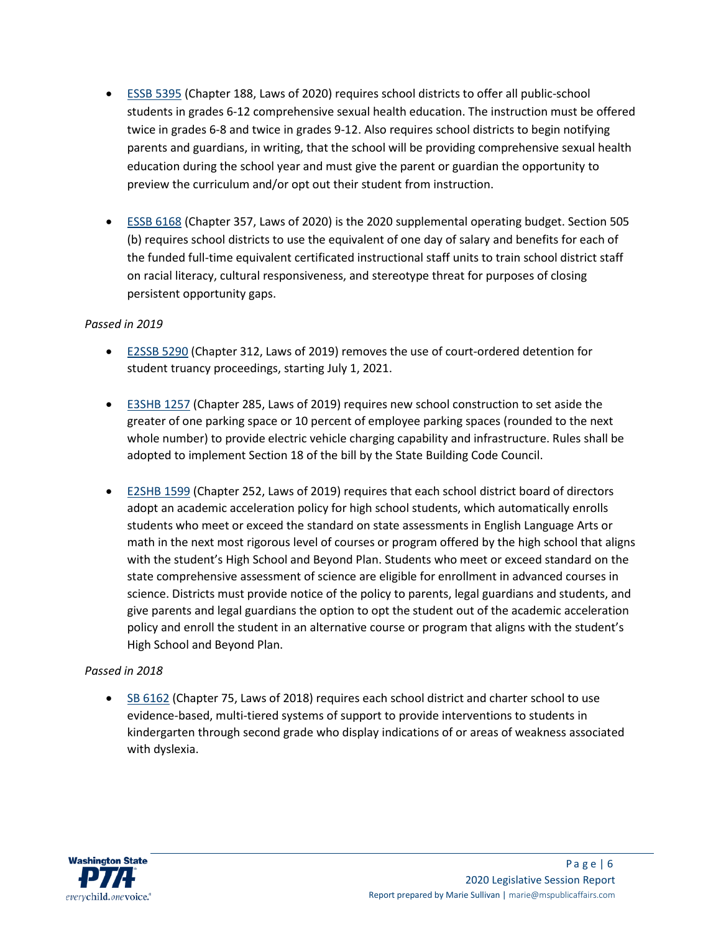- [ESSB 5395](https://app.leg.wa.gov/billsummary?BillNumber=5395&Initiative=false&Year=2019) (Chapter 188, Laws of 2020) requires school districts to offer all public-school students in grades 6-12 comprehensive sexual health education. The instruction must be offered twice in grades 6-8 and twice in grades 9-12. Also requires school districts to begin notifying parents and guardians, in writing, that the school will be providing comprehensive sexual health education during the school year and must give the parent or guardian the opportunity to preview the curriculum and/or opt out their student from instruction.
- [ESSB 6168](https://app.leg.wa.gov/billsummary?BillNumber=6168&Initiative=false&Year=2019) (Chapter 357, Laws of 2020) is the 2020 supplemental operating budget. Section 505 (b) requires school districts to use the equivalent of one day of salary and benefits for each of the funded full-time equivalent certificated instructional staff units to train school district staff on racial literacy, cultural responsiveness, and stereotype threat for purposes of closing persistent opportunity gaps.

# *Passed in 2019*

- [E2SSB 5290](http://lawfilesext.leg.wa.gov/biennium/2019-20/Pdf/Bills/Session%20Laws/Senate/5290-S2.SL.pdf) (Chapter 312, Laws of 2019) removes the use of court-ordered detention for student truancy proceedings, starting July 1, 2021.
- [E3SHB 1257](http://lawfilesext.leg.wa.gov/biennium/2019-20/Pdf/Bills/Session%20Laws/House/1257-S3.SL.pdf) (Chapter 285, Laws of 2019) requires new school construction to set aside the greater of one parking space or 10 percent of employee parking spaces (rounded to the next whole number) to provide electric vehicle charging capability and infrastructure. Rules shall be adopted to implement Section 18 of the bill by the State Building Code Council.
- [E2SHB 1599](http://lawfilesext.leg.wa.gov/biennium/2019-20/Pdf/Bills/Session%20Laws/House/1599-S2.SL.pdf) (Chapter 252, Laws of 2019) requires that each school district board of directors adopt an academic acceleration policy for high school students, which automatically enrolls students who meet or exceed the standard on state assessments in English Language Arts or math in the next most rigorous level of courses or program offered by the high school that aligns with the student's High School and Beyond Plan. Students who meet or exceed standard on the state comprehensive assessment of science are eligible for enrollment in advanced courses in science. Districts must provide notice of the policy to parents, legal guardians and students, and give parents and legal guardians the option to opt the student out of the academic acceleration policy and enroll the student in an alternative course or program that aligns with the student's High School and Beyond Plan.

# *Passed in 2018*

• [SB 6162](http://lawfilesext.leg.wa.gov/biennium/2017-18/Pdf/Bills/Session%20Laws/Senate/6162-S2.SL.pdf) (Chapter 75, Laws of 2018) requires each school district and charter school to use evidence-based, multi-tiered systems of support to provide interventions to students in kindergarten through second grade who display indications of or areas of weakness associated with dyslexia.

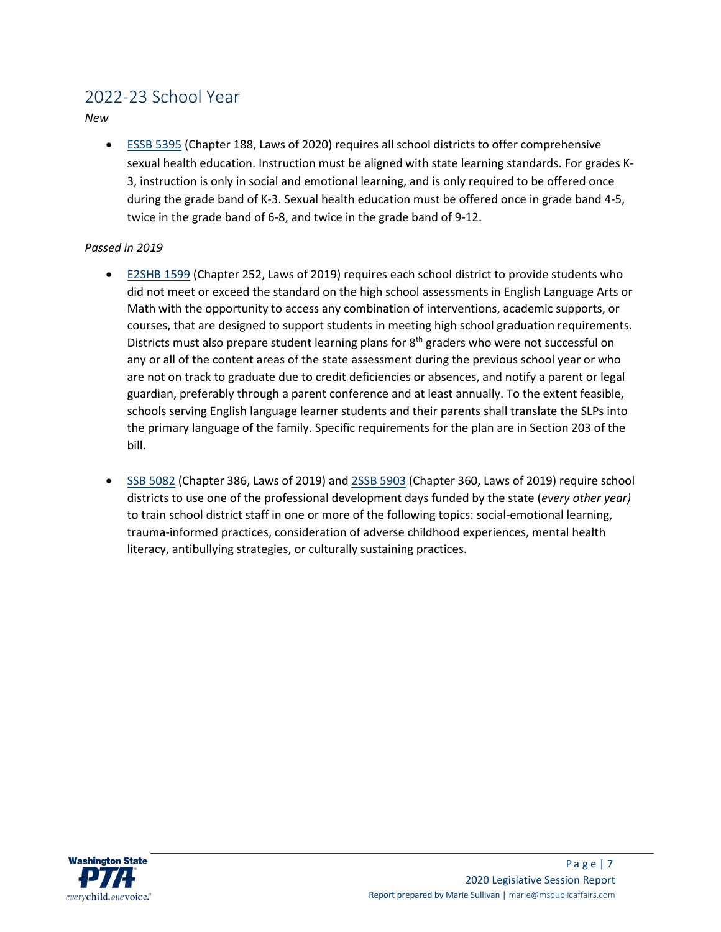# 2022-23 School Year

*New*

• [ESSB 5395](https://app.leg.wa.gov/billsummary?BillNumber=5395&Initiative=false&Year=2019) (Chapter 188, Laws of 2020) requires all school districts to offer comprehensive sexual health education. Instruction must be aligned with state learning standards. For grades K-3, instruction is only in social and emotional learning, and is only required to be offered once during the grade band of K-3. Sexual health education must be offered once in grade band 4-5, twice in the grade band of 6-8, and twice in the grade band of 9-12.

# *Passed in 2019*

- [E2SHB 1599](http://lawfilesext.leg.wa.gov/biennium/2019-20/Pdf/Bills/Session%20Laws/House/1599-S2.SL.pdf) (Chapter 252, Laws of 2019) requires each school district to provide students who did not meet or exceed the standard on the high school assessments in English Language Arts or Math with the opportunity to access any combination of interventions, academic supports, or courses, that are designed to support students in meeting high school graduation requirements. Districts must also prepare student learning plans for  $8<sup>th</sup>$  graders who were not successful on any or all of the content areas of the state assessment during the previous school year or who are not on track to graduate due to credit deficiencies or absences, and notify a parent or legal guardian, preferably through a parent conference and at least annually. To the extent feasible, schools serving English language learner students and their parents shall translate the SLPs into the primary language of the family. Specific requirements for the plan are in Section 203 of the bill.
- [SSB 5082](http://lawfilesext.leg.wa.gov/biennium/2019-20/Pdf/Bills/Session%20Laws/Senate/5082-S2.SL.pdf) (Chapter 386, Laws of 2019) an[d 2SSB 5903](http://lawfilesext.leg.wa.gov/biennium/2019-20/Pdf/Bills/Session%20Laws/Senate/5903-S2.SL.pdf) (Chapter 360, Laws of 2019) require school districts to use one of the professional development days funded by the state (*every other year)*  to train school district staff in one or more of the following topics: social-emotional learning, trauma-informed practices, consideration of adverse childhood experiences, mental health literacy, antibullying strategies, or culturally sustaining practices.

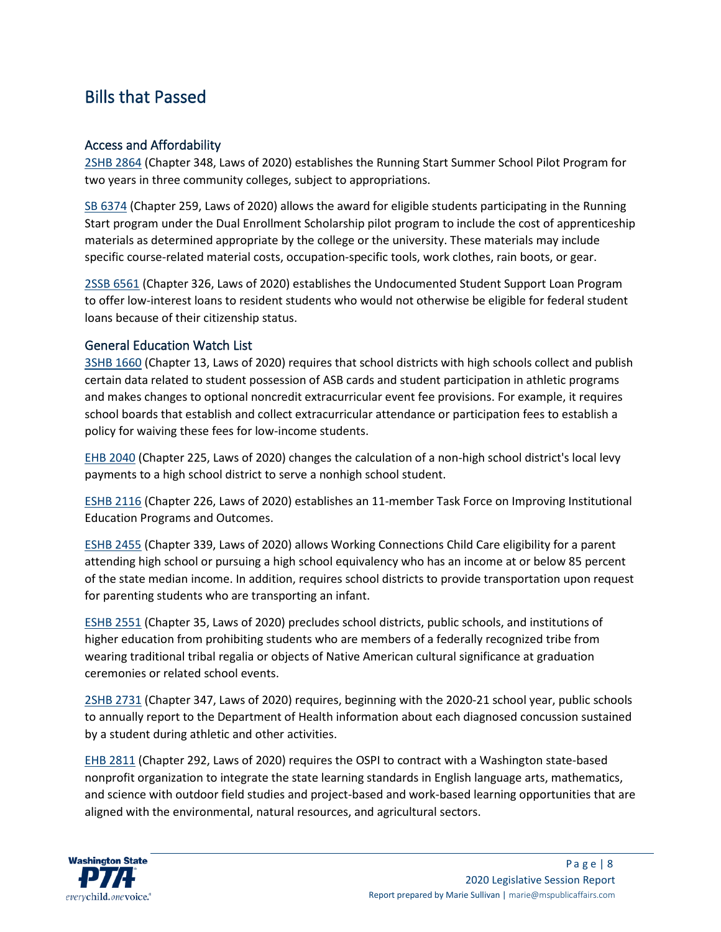# Bills that Passed

# Access and Affordability

[2SHB 2864](https://app.leg.wa.gov/billsummary?BillNumber=2864&Year=2019&Initiative=false) (Chapter 348, Laws of 2020) establishes the Running Start Summer School Pilot Program for two years in three community colleges, subject to appropriations.

[SB 6374](https://app.leg.wa.gov/billsummary?BillNumber=6374&Initiative=false&Year=2019) (Chapter 259, Laws of 2020) allows the award for eligible students participating in the Running Start program under the Dual Enrollment Scholarship pilot program to include the cost of apprenticeship materials as determined appropriate by the college or the university. These materials may include specific course-related material costs, occupation-specific tools, work clothes, rain boots, or gear.

[2SSB 6561](https://app.leg.wa.gov/billsummary?BillNumber=6561&Initiative=false&Year=2019) (Chapter 326, Laws of 2020) establishes the Undocumented Student Support Loan Program to offer low-interest loans to resident students who would not otherwise be eligible for federal student loans because of their citizenship status.

# General Education Watch List

[3SHB 1660](https://app.leg.wa.gov/billsummary?BillNumber=1660&Initiative=false&Year=2019) (Chapter 13, Laws of 2020) requires that school districts with high schools collect and publish certain data related to student possession of ASB cards and student participation in athletic programs and makes changes to optional noncredit extracurricular event fee provisions. For example, it requires school boards that establish and collect extracurricular attendance or participation fees to establish a policy for waiving these fees for low-income students.

[EHB 2040](https://app.leg.wa.gov/billsummary?BillNumber=2040&Initiative=false&Year=2019) (Chapter 225, Laws of 2020) changes the calculation of a non-high school district's local levy payments to a high school district to serve a nonhigh school student.

[ESHB 2116](https://app.leg.wa.gov/billsummary?BillNumber=2116&Initiative=false&Year=2019) (Chapter 226, Laws of 2020) establishes an 11-member Task Force on Improving Institutional Education Programs and Outcomes.

[ESHB 2455](https://app.leg.wa.gov/billsummary?BillNumber=2455&Initiative=false&Year=2019) (Chapter 339, Laws of 2020) allows Working Connections Child Care eligibility for a parent attending high school or pursuing a high school equivalency who has an income at or below 85 percent of the state median income. In addition, requires school districts to provide transportation upon request for parenting students who are transporting an infant.

[ESHB 2551](https://app.leg.wa.gov/billsummary?BillNumber=2551&Initiative=false&Year=2019) (Chapter 35, Laws of 2020) precludes school districts, public schools, and institutions of higher education from prohibiting students who are members of a federally recognized tribe from wearing traditional tribal regalia or objects of Native American cultural significance at graduation ceremonies or related school events.

[2SHB 2731](https://app.leg.wa.gov/billsummary?BillNumber=2731&Initiative=false&Year=2019) (Chapter 347, Laws of 2020) requires, beginning with the 2020-21 school year, public schools to annually report to the Department of Health information about each diagnosed concussion sustained by a student during athletic and other activities.

[EHB 2811](https://app.leg.wa.gov/billsummary?BillNumber=2811&Initiative=false&Year=2019) (Chapter 292, Laws of 2020) requires the OSPI to contract with a Washington state-based nonprofit organization to integrate the state learning standards in English language arts, mathematics, and science with outdoor field studies and project-based and work-based learning opportunities that are aligned with the environmental, natural resources, and agricultural sectors.

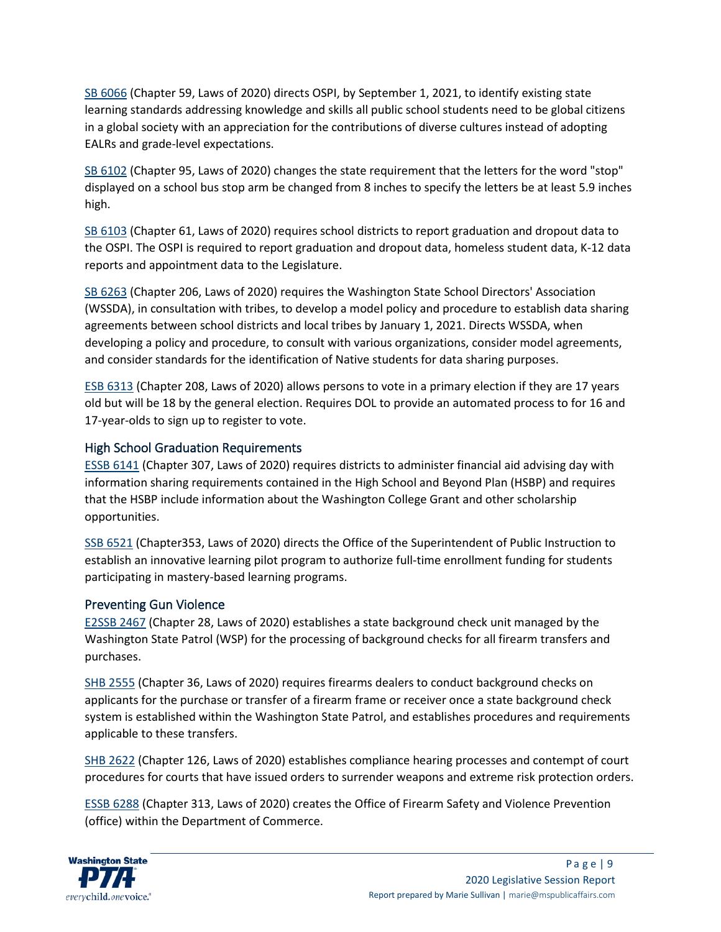[SB 6066](https://app.leg.wa.gov/billsummary?BillNumber=6066&Initiative=false&Year=2019) (Chapter 59, Laws of 2020) directs OSPI, by September 1, 2021, to identify existing state learning standards addressing knowledge and skills all public school students need to be global citizens in a global society with an appreciation for the contributions of diverse cultures instead of adopting EALRs and grade-level expectations.

[SB 6102](https://app.leg.wa.gov/billsummary?BillNumber=6102&Initiative=false&Year=2019) (Chapter 95, Laws of 2020) changes the state requirement that the letters for the word "stop" displayed on a school bus stop arm be changed from 8 inches to specify the letters be at least 5.9 inches high.

[SB 6103](https://app.leg.wa.gov/billsummary?BillNumber=6103&Initiative=false&Year=2019) (Chapter 61, Laws of 2020) requires school districts to report graduation and dropout data to the OSPI. The OSPI is required to report graduation and dropout data, homeless student data, K-12 data reports and appointment data to the Legislature.

[SB 6263](https://app.leg.wa.gov/billsummary?BillNumber=6263&Initiative=false&Year=2019) (Chapter 206, Laws of 2020) requires the Washington State School Directors' Association (WSSDA), in consultation with tribes, to develop a model policy and procedure to establish data sharing agreements between school districts and local tribes by January 1, 2021. Directs WSSDA, when developing a policy and procedure, to consult with various organizations, consider model agreements, and consider standards for the identification of Native students for data sharing purposes.

[ESB 6313](https://app.leg.wa.gov/billsummary?BillNumber=6313&Initiative=false&Year=2019) (Chapter 208, Laws of 2020) allows persons to vote in a primary election if they are 17 years old but will be 18 by the general election. Requires DOL to provide an automated process to for 16 and 17-year-olds to sign up to register to vote.

# High School Graduation Requirements

[ESSB 6141](https://app.leg.wa.gov/billsummary?BillNumber=6141&Initiative=false&Year=2019) (Chapter 307, Laws of 2020) requires districts to administer financial aid advising day with information sharing requirements contained in the High School and Beyond Plan (HSBP) and requires that the HSBP include information about the Washington College Grant and other scholarship opportunities.

[SSB 6521](https://app.leg.wa.gov/billsummary?BillNumber=6521&Initiative=false&Year=2019) (Chapter353, Laws of 2020) directs the Office of the Superintendent of Public Instruction to establish an innovative learning pilot program to authorize full-time enrollment funding for students participating in mastery-based learning programs.

# Preventing Gun Violence

[E2SSB 2467](https://app.leg.wa.gov/billsummary?BillNumber=2467&Initiative=false&Year=2019) (Chapter 28, Laws of 2020) establishes a state background check unit managed by the Washington State Patrol (WSP) for the processing of background checks for all firearm transfers and purchases.

[SHB 2555](https://app.leg.wa.gov/billsummary?BillNumber=2555&Initiative=false&Year=2019) (Chapter 36, Laws of 2020) requires firearms dealers to conduct background checks on applicants for the purchase or transfer of a firearm frame or receiver once a state background check system is established within the Washington State Patrol, and establishes procedures and requirements applicable to these transfers.

[SHB 2622](https://app.leg.wa.gov/billsummary?BillNumber=2622&Initiative=false&Year=2019) (Chapter 126, Laws of 2020) establishes compliance hearing processes and contempt of court procedures for courts that have issued orders to surrender weapons and extreme risk protection orders.

[ESSB 6288](https://app.leg.wa.gov/billsummary?BillNumber=6288&Initiative=false&Year=2019) (Chapter 313, Laws of 2020) creates the Office of Firearm Safety and Violence Prevention (office) within the Department of Commerce.

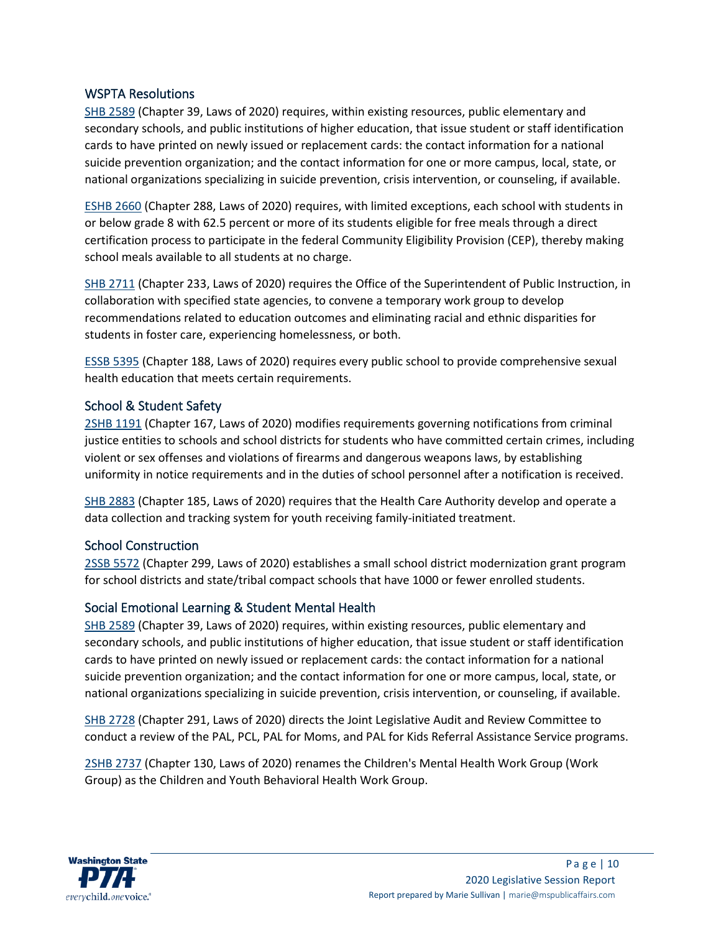# WSPTA Resolutions

[SHB 2589](https://app.leg.wa.gov/billsummary?BillNumber=2589&Initiative=false&Year=2019) (Chapter 39, Laws of 2020) requires, within existing resources, public elementary and secondary schools, and public institutions of higher education, that issue student or staff identification cards to have printed on newly issued or replacement cards: the contact information for a national suicide prevention organization; and the contact information for one or more campus, local, state, or national organizations specializing in suicide prevention, crisis intervention, or counseling, if available.

[ESHB 2660](https://app.leg.wa.gov/billsummary?BillNumber=2660&Initiative=false&Year=2019) (Chapter 288, Laws of 2020) requires, with limited exceptions, each school with students in or below grade 8 with 62.5 percent or more of its students eligible for free meals through a direct certification process to participate in the federal Community Eligibility Provision (CEP), thereby making school meals available to all students at no charge.

[SHB 2711](https://app.leg.wa.gov/billsummary?BillNumber=2711&Initiative=false&Year=2019) (Chapter 233, Laws of 2020) requires the Office of the Superintendent of Public Instruction, in collaboration with specified state agencies, to convene a temporary work group to develop recommendations related to education outcomes and eliminating racial and ethnic disparities for students in foster care, experiencing homelessness, or both.

[ESSB 5395](https://app.leg.wa.gov/billsummary?BillNumber=5395&Initiative=false&Year=2019) (Chapter 188, Laws of 2020) requires every public school to provide comprehensive sexual health education that meets certain requirements.

# School & Student Safety

[2SHB 1191](https://app.leg.wa.gov/billsummary?BillNumber=1191&Initiative=false&Year=2019) (Chapter 167, Laws of 2020) modifies requirements governing notifications from criminal justice entities to schools and school districts for students who have committed certain crimes, including violent or sex offenses and violations of firearms and dangerous weapons laws, by establishing uniformity in notice requirements and in the duties of school personnel after a notification is received.

[SHB 2883](https://app.leg.wa.gov/billsummary?BillNumber=2883&Initiative=false&Year=2019) (Chapter 185, Laws of 2020) requires that the Health Care Authority develop and operate a data collection and tracking system for youth receiving family-initiated treatment.

# School Construction

[2SSB 5572](https://app.leg.wa.gov/billsummary?BillNumber=5572&Initiative=false&Year=2019) (Chapter 299, Laws of 2020) establishes a small school district modernization grant program for school districts and state/tribal compact schools that have 1000 or fewer enrolled students.

# Social Emotional Learning & Student Mental Health

[SHB 2589](https://app.leg.wa.gov/billsummary?BillNumber=2589&Initiative=false&Year=2019) (Chapter 39, Laws of 2020) requires, within existing resources, public elementary and secondary schools, and public institutions of higher education, that issue student or staff identification cards to have printed on newly issued or replacement cards: the contact information for a national suicide prevention organization; and the contact information for one or more campus, local, state, or national organizations specializing in suicide prevention, crisis intervention, or counseling, if available.

[SHB 2728](https://app.leg.wa.gov/billsummary?BillNumber=2728&Initiative=false&Year=2019) (Chapter 291, Laws of 2020) directs the Joint Legislative Audit and Review Committee to conduct a review of the PAL, PCL, PAL for Moms, and PAL for Kids Referral Assistance Service programs.

[2SHB 2737](https://app.leg.wa.gov/billsummary?BillNumber=2737&Initiative=false&Year=2019) (Chapter 130, Laws of 2020) renames the Children's Mental Health Work Group (Work Group) as the Children and Youth Behavioral Health Work Group.

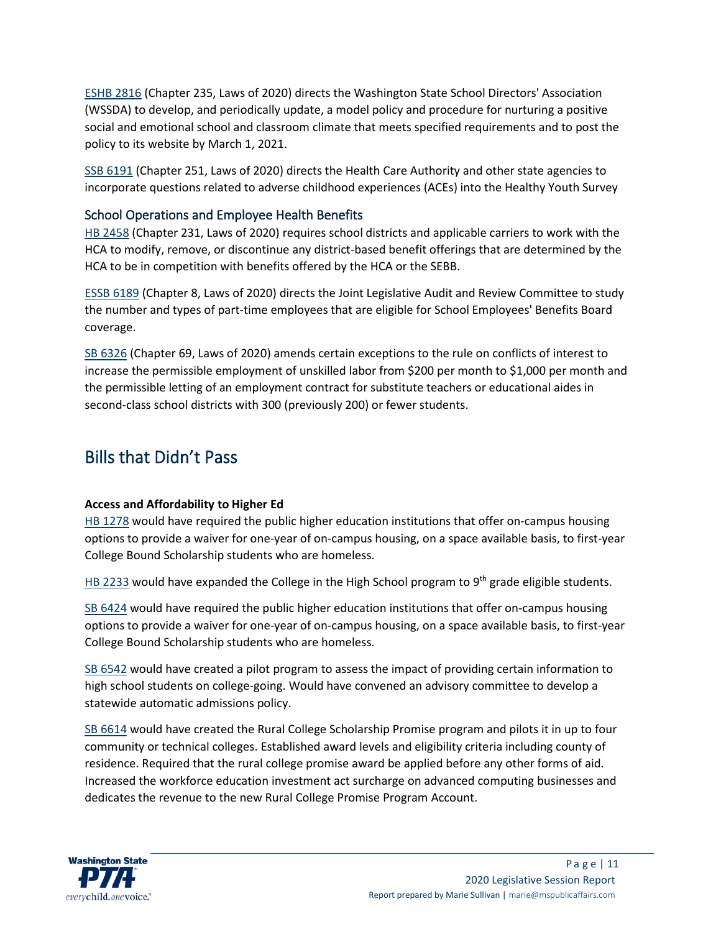[ESHB 2816](https://app.leg.wa.gov/billsummary?BillNumber=2816&Initiative=false&Year=2019) (Chapter 235, Laws of 2020) directs the Washington State School Directors' Association (WSSDA) to develop, and periodically update, a model policy and procedure for nurturing a positive social and emotional school and classroom climate that meets specified requirements and to post the policy to its website by March 1, 2021.

[SSB 6191](https://app.leg.wa.gov/billsummary?BillNumber=6191&Initiative=false&Year=2019) (Chapter 251, Laws of 2020) directs the Health Care Authority and other state agencies to incorporate questions related to adverse childhood experiences (ACEs) into the Healthy Youth Survey

# School Operations and Employee Health Benefits

[HB 2458](https://app.leg.wa.gov/billsummary?BillNumber=2458&Initiative=false&Year=2019) (Chapter 231, Laws of 2020) requires school districts and applicable carriers to work with the HCA to modify, remove, or discontinue any district-based benefit offerings that are determined by the HCA to be in competition with benefits offered by the HCA or the SEBB.

[ESSB 6189](https://app.leg.wa.gov/billsummary?BillNumber=6189&Initiative=false&Year=2019) (Chapter 8, Laws of 2020) directs the Joint Legislative Audit and Review Committee to study the number and types of part-time employees that are eligible for School Employees' Benefits Board coverage.

[SB 6326](https://app.leg.wa.gov/billsummary?BillNumber=6326&Initiative=false&Year=2019) (Chapter 69, Laws of 2020) amends certain exceptions to the rule on conflicts of interest to increase the permissible employment of unskilled labor from \$200 per month to \$1,000 per month and the permissible letting of an employment contract for substitute teachers or educational aides in second-class school districts with 300 (previously 200) or fewer students.

# Bills that Didn't Pass

# **Access and Affordability to Higher Ed**

[HB 1278](https://app.leg.wa.gov/billsummary?BillNumber=1278&Initiative=false&Year=2019) would have required the public higher education institutions that offer on-campus housing options to provide a waiver for one-year of on-campus housing, on a space available basis, to first-year College Bound Scholarship students who are homeless.

[HB 2233](https://app.leg.wa.gov/billsummary?BillNumber=2233&Initiative=false&Year=2019) would have expanded the College in the High School program to 9<sup>th</sup> grade eligible students.

[SB 6424](https://app.leg.wa.gov/billsummary?BillNumber=6424&Initiative=false&Year=2019) would have required the public higher education institutions that offer on-campus housing options to provide a waiver for one-year of on-campus housing, on a space available basis, to first-year College Bound Scholarship students who are homeless.

[SB 6542](https://app.leg.wa.gov/billsummary?BillNumber=6542&Initiative=false&Year=2019) would have created a pilot program to assess the impact of providing certain information to high school students on college-going. Would have convened an advisory committee to develop a statewide automatic admissions policy.

[SB 6614](https://app.leg.wa.gov/billsummary?BillNumber=6614&Initiative=false&Year=2019) would have created the Rural College Scholarship Promise program and pilots it in up to four community or technical colleges. Established award levels and eligibility criteria including county of residence. Required that the rural college promise award be applied before any other forms of aid. Increased the workforce education investment act surcharge on advanced computing businesses and dedicates the revenue to the new Rural College Promise Program Account.

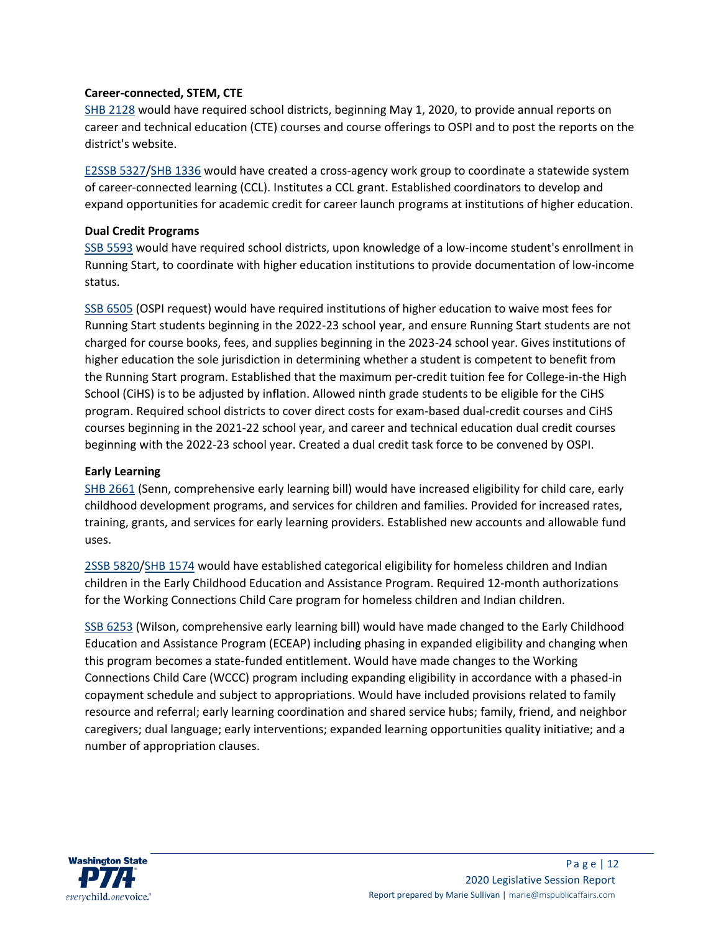#### **Career-connected, STEM, CTE**

[SHB 2128](https://app.leg.wa.gov/billsummary?BillNumber=2128&Initiative=false&Year=2019) would have required school districts, beginning May 1, 2020, to provide annual reports on career and technical education (CTE) courses and course offerings to OSPI and to post the reports on the district's website.

[E2SSB 5327/](https://app.leg.wa.gov/billsummary?BillNumber=5327&Initiative=false&Year=2019)[SHB 1336](https://app.leg.wa.gov/billsummary?BillNumber=1336&Chamber=House&Year=2019) would have created a cross-agency work group to coordinate a statewide system of career-connected learning (CCL). Institutes a CCL grant. Established coordinators to develop and expand opportunities for academic credit for career launch programs at institutions of higher education.

#### **Dual Credit Programs**

SSB [5593](https://app.leg.wa.gov/billsummary?BillNumber=5593&Initiative=false&Year=2019) would have required school districts, upon knowledge of a low-income student's enrollment in Running Start, to coordinate with higher education institutions to provide documentation of low-income status.

[SSB 6505](https://app.leg.wa.gov/billsummary?BillNumber=6505&Initiative=false&Year=2019) (OSPI request) would have required institutions of higher education to waive most fees for Running Start students beginning in the 2022-23 school year, and ensure Running Start students are not charged for course books, fees, and supplies beginning in the 2023-24 school year. Gives institutions of higher education the sole jurisdiction in determining whether a student is competent to benefit from the Running Start program. Established that the maximum per-credit tuition fee for College-in-the High School (CiHS) is to be adjusted by inflation. Allowed ninth grade students to be eligible for the CiHS program. Required school districts to cover direct costs for exam-based dual-credit courses and CiHS courses beginning in the 2021-22 school year, and career and technical education dual credit courses beginning with the 2022-23 school year. Created a dual credit task force to be convened by OSPI.

#### **Early Learning**

[SHB 2661](https://app.leg.wa.gov/billsummary?BillNumber=2661&Initiative=false&Year=2019) (Senn, comprehensive early learning bill) would have increased eligibility for child care, early childhood development programs, and services for children and families. Provided for increased rates, training, grants, and services for early learning providers. Established new accounts and allowable fund uses.

[2SSB 5820](https://app.leg.wa.gov/billsummary?BillNumber=5820&Initiative=false&Year=2019)[/SHB 1574](https://app.leg.wa.gov/billsummary?BillNumber=1574&Chamber=House&Year=2019) would have established categorical eligibility for homeless children and Indian children in the Early Childhood Education and Assistance Program. Required 12-month authorizations for the Working Connections Child Care program for homeless children and Indian children.

[SSB 6253](https://app.leg.wa.gov/billsummary?BillNumber=6253&Initiative=false&Year=2019) (Wilson, comprehensive early learning bill) would have made changed to the Early Childhood Education and Assistance Program (ECEAP) including phasing in expanded eligibility and changing when this program becomes a state-funded entitlement. Would have made changes to the Working Connections Child Care (WCCC) program including expanding eligibility in accordance with a phased-in copayment schedule and subject to appropriations. Would have included provisions related to family resource and referral; early learning coordination and shared service hubs; family, friend, and neighbor caregivers; dual language; early interventions; expanded learning opportunities quality initiative; and a number of appropriation clauses.

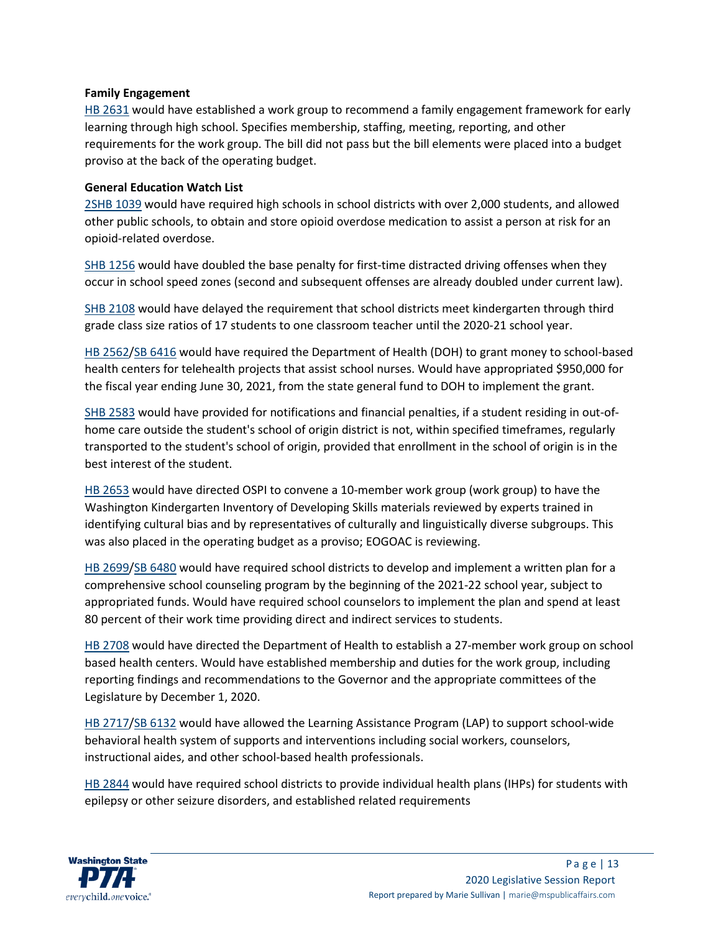#### **Family Engagement**

[HB 2631](https://app.leg.wa.gov/billsummary?BillNumber=2631&Initiative=false&Year=2019) would have established a work group to recommend a family engagement framework for early learning through high school. Specifies membership, staffing, meeting, reporting, and other requirements for the work group. The bill did not pass but the bill elements were placed into a budget proviso at the back of the operating budget.

#### **General Education Watch List**

[2SHB 1039](https://app.leg.wa.gov/billsummary?BillNumber=1039&Initiative=false&Year=2019) would have required high schools in school districts with over 2,000 students, and allowed other public schools, to obtain and store opioid overdose medication to assist a person at risk for an opioid-related overdose.

[SHB 1256](https://app.leg.wa.gov/billsummary?BillNumber=1256&Initiative=false&Year=2019) would have doubled the base penalty for first-time distracted driving offenses when they occur in school speed zones (second and subsequent offenses are already doubled under current law).

[SHB 2108](https://app.leg.wa.gov/billsummary?BillNumber=2108&Initiative=false&Year=2019) would have delayed the requirement that school districts meet kindergarten through third grade class size ratios of 17 students to one classroom teacher until the 2020-21 school year.

[HB 2562/](https://app.leg.wa.gov/billsummary?BillNumber=2562&Initiative=false&Year=2019)[SB 6416](https://app.leg.wa.gov/billsummary?BillNumber=6416&Chamber=Senate&Year=2019) would have required the Department of Health (DOH) to grant money to school-based health centers for telehealth projects that assist school nurses. Would have appropriated \$950,000 for the fiscal year ending June 30, 2021, from the state general fund to DOH to implement the grant.

[SHB 2583](https://app.leg.wa.gov/billsummary?BillNumber=2583&Initiative=false&Year=2019) would have provided for notifications and financial penalties, if a student residing in out-ofhome care outside the student's school of origin district is not, within specified timeframes, regularly transported to the student's school of origin, provided that enrollment in the school of origin is in the best interest of the student.

[HB 2653](https://app.leg.wa.gov/billsummary?BillNumber=2653&Initiative=false&Year=2019) would have directed OSPI to convene a 10-member work group (work group) to have the Washington Kindergarten Inventory of Developing Skills materials reviewed by experts trained in identifying cultural bias and by representatives of culturally and linguistically diverse subgroups. This was also placed in the operating budget as a proviso; EOGOAC is reviewing.

[HB 2699/](https://app.leg.wa.gov/billsummary?BillNumber=2699&Initiative=false&Year=2019)[SB 6480](https://app.leg.wa.gov/billsummary?BillNumber=6480&Chamber=Senate&Year=2019) would have required school districts to develop and implement a written plan for a comprehensive school counseling program by the beginning of the 2021-22 school year, subject to appropriated funds. Would have required school counselors to implement the plan and spend at least 80 percent of their work time providing direct and indirect services to students.

[HB 2708](https://app.leg.wa.gov/billsummary?BillNumber=2708&Initiative=false&Year=2019) would have directed the Department of Health to establish a 27-member work group on school based health centers. Would have established membership and duties for the work group, including reporting findings and recommendations to the Governor and the appropriate committees of the Legislature by December 1, 2020.

[HB 2717/](https://app.leg.wa.gov/billsummary?BillNumber=2717&Initiative=false&Year=2019)[SB 6132](https://app.leg.wa.gov/billsummary?BillNumber=6132&Chamber=Senate&Year=2019) would have allowed the Learning Assistance Program (LAP) to support school-wide behavioral health system of supports and interventions including social workers, counselors, instructional aides, and other school-based health professionals.

[HB 2844](https://app.leg.wa.gov/billsummary?BillNumber=2844&Initiative=false&Year=2019) would have required school districts to provide individual health plans (IHPs) for students with epilepsy or other seizure disorders, and established related requirements

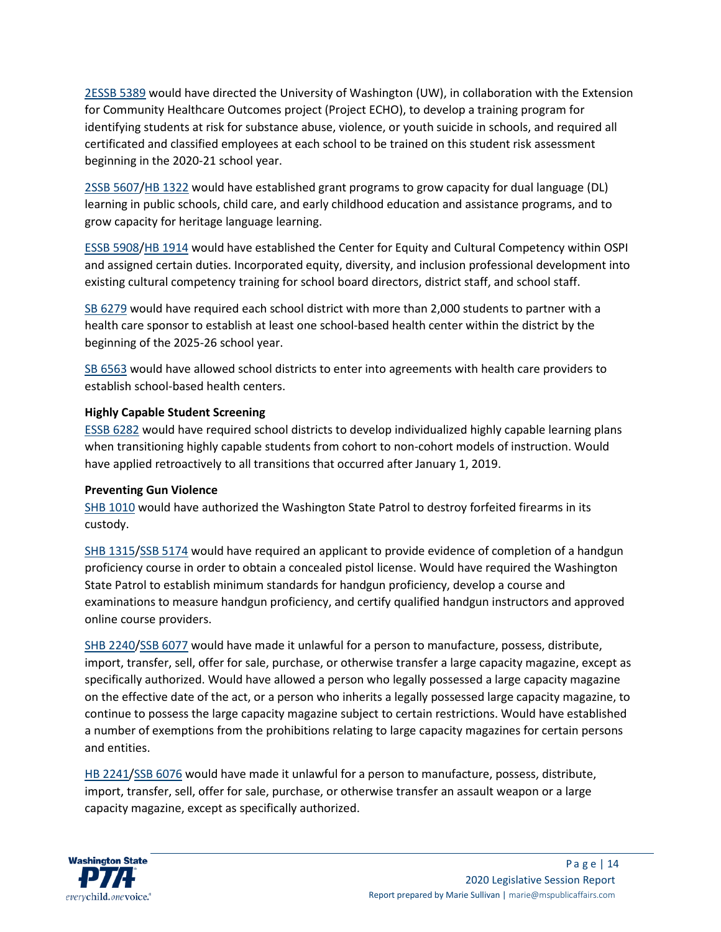[2ESSB 5389](https://app.leg.wa.gov/billsummary?BillNumber=5389&Initiative=false&Year=2019) would have directed the University of Washington (UW), in collaboration with the Extension for Community Healthcare Outcomes project (Project ECHO), to develop a training program for identifying students at risk for substance abuse, violence, or youth suicide in schools, and required all certificated and classified employees at each school to be trained on this student risk assessment beginning in the 2020-21 school year.

[2SSB 5607](https://app.leg.wa.gov/billsummary?BillNumber=5607&Initiative=false&Year=2019)[/HB 1322](https://app.leg.wa.gov/billsummary?BillNumber=1322&Chamber=House&Year=2019) would have established grant programs to grow capacity for dual language (DL) learning in public schools, child care, and early childhood education and assistance programs, and to grow capacity for heritage language learning.

[ESSB 5908](https://app.leg.wa.gov/billsummary?BillNumber=5908&Initiative=false&Year=2019)[/HB 1914](https://app.leg.wa.gov/billsummary?BillNumber=1914&Chamber=House&Year=2019) would have established the Center for Equity and Cultural Competency within OSPI and assigned certain duties. Incorporated equity, diversity, and inclusion professional development into existing cultural competency training for school board directors, district staff, and school staff.

[SB 6279](https://app.leg.wa.gov/billsummary?BillNumber=6279&Initiative=false&Year=2019) would have required each school district with more than 2,000 students to partner with a health care sponsor to establish at least one school-based health center within the district by the beginning of the 2025-26 school year.

[SB 6563](https://app.leg.wa.gov/billsummary?BillNumber=6563&Initiative=false&Year=2019) would have allowed school districts to enter into agreements with health care providers to establish school-based health centers.

# **Highly Capable Student Screening**

[ESSB 6282](https://app.leg.wa.gov/billsummary?BillNumber=6282&Initiative=false&Year=2019) would have required school districts to develop individualized highly capable learning plans when transitioning highly capable students from cohort to non-cohort models of instruction. Would have applied retroactively to all transitions that occurred after January 1, 2019.

#### **Preventing Gun Violence**

[SHB 1010](https://app.leg.wa.gov/billsummary?BillNumber=1010&Initiative=false&Year=2019) would have authorized the Washington State Patrol to destroy forfeited firearms in its custody.

[SHB 1315/](https://app.leg.wa.gov/billsummary?BillNumber=1315&Initiative=false&Year=2019)[SSB 5174](https://app.leg.wa.gov/billsummary?BillNumber=5174&Chamber=Senate&Year=2019) would have required an applicant to provide evidence of completion of a handgun proficiency course in order to obtain a concealed pistol license. Would have required the Washington State Patrol to establish minimum standards for handgun proficiency, develop a course and examinations to measure handgun proficiency, and certify qualified handgun instructors and approved online course providers.

[SHB 2240/](https://app.leg.wa.gov/billsummary?BillNumber=2240&Initiative=false&Year=2019)[SSB 6077](https://app.leg.wa.gov/billsummary?BillNumber=6077&Chamber=Senate&Year=2019) would have made it unlawful for a person to manufacture, possess, distribute, import, transfer, sell, offer for sale, purchase, or otherwise transfer a large capacity magazine, except as specifically authorized. Would have allowed a person who legally possessed a large capacity magazine on the effective date of the act, or a person who inherits a legally possessed large capacity magazine, to continue to possess the large capacity magazine subject to certain restrictions. Would have established a number of exemptions from the prohibitions relating to large capacity magazines for certain persons and entities.

HB [2241/](https://app.leg.wa.gov/billsummary?BillNumber=2241&Initiative=false&Year=2019)[SSB 6076](https://app.leg.wa.gov/billsummary?BillNumber=6076&Initiative=false&Year=2019) would have made it unlawful for a person to manufacture, possess, distribute, import, transfer, sell, offer for sale, purchase, or otherwise transfer an assault weapon or a large capacity magazine, except as specifically authorized.

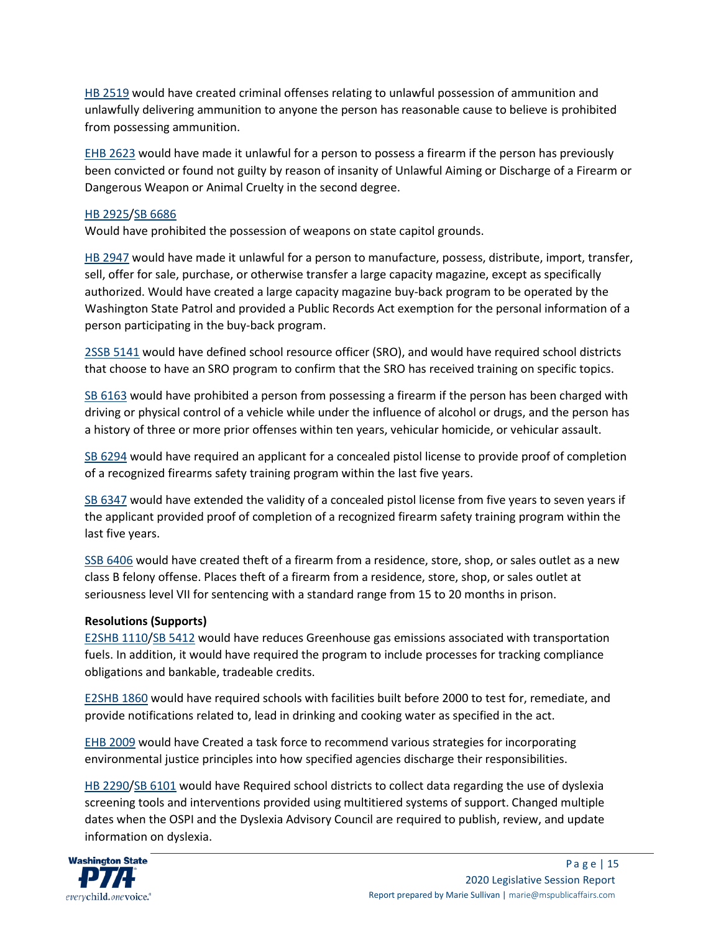[HB 2519](https://app.leg.wa.gov/billsummary?BillNumber=2519&Initiative=false&Year=2019) would have created criminal offenses relating to unlawful possession of ammunition and unlawfully delivering ammunition to anyone the person has reasonable cause to believe is prohibited from possessing ammunition.

[EHB 2623](https://app.leg.wa.gov/billsummary?BillNumber=2623&Initiative=false&Year=2019) would have made it unlawful for a person to possess a firearm if the person has previously been convicted or found not guilty by reason of insanity of Unlawful Aiming or Discharge of a Firearm or Dangerous Weapon or Animal Cruelty in the second degree.

# [HB 2925/](https://app.leg.wa.gov/billsummary?BillNumber=2925&Initiative=false&Year=2019)[SB 6686](https://app.leg.wa.gov/billsummary?BillNumber=6686&Chamber=Senate&Year=2019)

Would have prohibited the possession of weapons on state capitol grounds.

[HB 2947](https://app.leg.wa.gov/billsummary?BillNumber=2947&Initiative=false&Year=2019) would have made it unlawful for a person to manufacture, possess, distribute, import, transfer, sell, offer for sale, purchase, or otherwise transfer a large capacity magazine, except as specifically authorized. Would have created a large capacity magazine buy-back program to be operated by the Washington State Patrol and provided a Public Records Act exemption for the personal information of a person participating in the buy-back program.

[2SSB 5141](https://app.leg.wa.gov/billsummary?BillNumber=5141&Initiative=false&Year=2019) would have defined school resource officer (SRO), and would have required school districts that choose to have an SRO program to confirm that the SRO has received training on specific topics.

[SB 6163](https://app.leg.wa.gov/billsummary?BillNumber=6163&Initiative=false&Year=2019) would have prohibited a person from possessing a firearm if the person has been charged with driving or physical control of a vehicle while under the influence of alcohol or drugs, and the person has a history of three or more prior offenses within ten years, vehicular homicide, or vehicular assault.

[SB 6294](https://app.leg.wa.gov/billsummary?BillNumber=6294&Initiative=false&Year=2019) would have required an applicant for a concealed pistol license to provide proof of completion of a recognized firearms safety training program within the last five years.

[SB 6347](https://app.leg.wa.gov/billsummary?BillNumber=6347&Initiative=false&Year=2019) would have extended the validity of a concealed pistol license from five years to seven years if the applicant provided proof of completion of a recognized firearm safety training program within the last five years.

[SSB 6406](https://app.leg.wa.gov/billsummary?BillNumber=6406&Initiative=false&Year=2019) would have created theft of a firearm from a residence, store, shop, or sales outlet as a new class B felony offense. Places theft of a firearm from a residence, store, shop, or sales outlet at seriousness level VII for sentencing with a standard range from 15 to 20 months in prison.

# **Resolutions (Supports)**

[E2SHB 1110/](https://app.leg.wa.gov/billsummary?BillNumber=1110&Initiative=false&Year=2019)[SB 5412](https://app.leg.wa.gov/billsummary?BillNumber=5412&Chamber=Senate&Year=2019) would have reduces Greenhouse gas emissions associated with transportation fuels. In addition, it would have required the program to include processes for tracking compliance obligations and bankable, tradeable credits.

[E2SHB 1860](https://app.leg.wa.gov/billsummary?BillNumber=1860&Initiative=false&Year=2019) would have required schools with facilities built before 2000 to test for, remediate, and provide notifications related to, lead in drinking and cooking water as specified in the act.

[EHB 2009](https://app.leg.wa.gov/billsummary?BillNumber=2009&Initiative=false&Year=2019) would have Created a task force to recommend various strategies for incorporating environmental justice principles into how specified agencies discharge their responsibilities.

[HB 2290/](https://app.leg.wa.gov/billsummary?BillNumber=2290&Initiative=false&Year=2019)SB [6101](https://app.leg.wa.gov/billsummary?BillNumber=6101&Chamber=Senate&Year=2019) would have Required school districts to collect data regarding the use of dyslexia screening tools and interventions provided using multitiered systems of support. Changed multiple dates when the OSPI and the Dyslexia Advisory Council are required to publish, review, and update information on dyslexia.

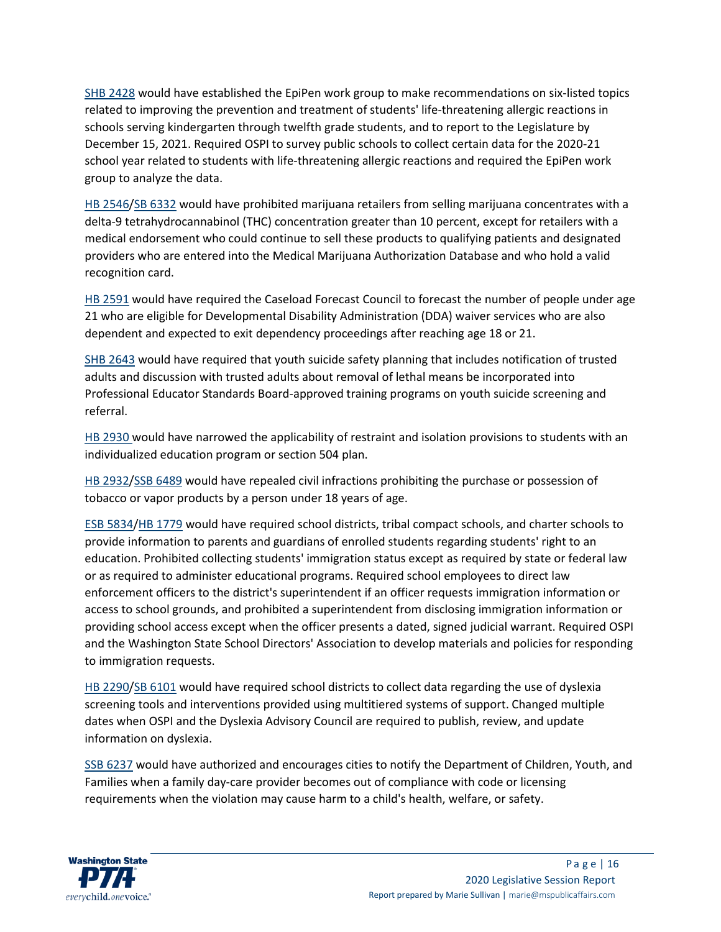[SHB 2428](https://app.leg.wa.gov/billsummary?BillNumber=2428&Initiative=false&Year=2019) would have established the EpiPen work group to make recommendations on six-listed topics related to improving the prevention and treatment of students' life-threatening allergic reactions in schools serving kindergarten through twelfth grade students, and to report to the Legislature by December 15, 2021. Required OSPI to survey public schools to collect certain data for the 2020-21 school year related to students with life-threatening allergic reactions and required the EpiPen work group to analyze the data.

[HB 2546/](https://app.leg.wa.gov/billsummary?BillNumber=2546&Initiative=false&Year=2019)[SB 6332](https://app.leg.wa.gov/billsummary?BillNumber=6332&Chamber=Senate&Year=2019) would have prohibited marijuana retailers from selling marijuana concentrates with a delta-9 tetrahydrocannabinol (THC) concentration greater than 10 percent, except for retailers with a medical endorsement who could continue to sell these products to qualifying patients and designated providers who are entered into the Medical Marijuana Authorization Database and who hold a valid recognition card.

[HB 2591](https://app.leg.wa.gov/billsummary?BillNumber=2591&Initiative=false&Year=2019) would have required the Caseload Forecast Council to forecast the number of people under age 21 who are eligible for Developmental Disability Administration (DDA) waiver services who are also dependent and expected to exit dependency proceedings after reaching age 18 or 21.

[SHB 2643](https://app.leg.wa.gov/billsummary?BillNumber=2643&Initiative=false&Year=2019) would have required that youth suicide safety planning that includes notification of trusted adults and discussion with trusted adults about removal of lethal means be incorporated into Professional Educator Standards Board-approved training programs on youth suicide screening and referral.

[HB 2930](https://app.leg.wa.gov/billsummary?BillNumber=2930&Initiative=false&Year=2019) would have narrowed the applicability of restraint and isolation provisions to students with an individualized education program or section 504 plan.

[HB 2932/](https://app.leg.wa.gov/billsummary?BillNumber=2932&Initiative=false&Year=2019)[SSB 6489](https://app.leg.wa.gov/billsummary?BillNumber=6489&Chamber=Senate&Year=2019) would have repealed civil infractions prohibiting the purchase or possession of tobacco or vapor products by a person under 18 years of age.

[ESB 5834](https://app.leg.wa.gov/billsummary?BillNumber=5834&Initiative=false&Year=2019)[/HB 1779](https://app.leg.wa.gov/billsummary?BillNumber=1779&Chamber=House&Year=2019) would have required school districts, tribal compact schools, and charter schools to provide information to parents and guardians of enrolled students regarding students' right to an education. Prohibited collecting students' immigration status except as required by state or federal law or as required to administer educational programs. Required school employees to direct law enforcement officers to the district's superintendent if an officer requests immigration information or access to school grounds, and prohibited a superintendent from disclosing immigration information or providing school access except when the officer presents a dated, signed judicial warrant. Required OSPI and the Washington State School Directors' Association to develop materials and policies for responding to immigration requests.

[HB 2290/](https://app.leg.wa.gov/billsummary?BillNumber=2290&Initiative=false&Year=2019)[SB 6101](https://app.leg.wa.gov/billsummary?BillNumber=6101&Chamber=Senate&Year=2019) would have required school districts to collect data regarding the use of dyslexia screening tools and interventions provided using multitiered systems of support. Changed multiple dates when OSPI and the Dyslexia Advisory Council are required to publish, review, and update information on dyslexia.

[SSB 6237](https://app.leg.wa.gov/billsummary?BillNumber=6237&Initiative=false&Year=2019) would have authorized and encourages cities to notify the Department of Children, Youth, and Families when a family day-care provider becomes out of compliance with code or licensing requirements when the violation may cause harm to a child's health, welfare, or safety.

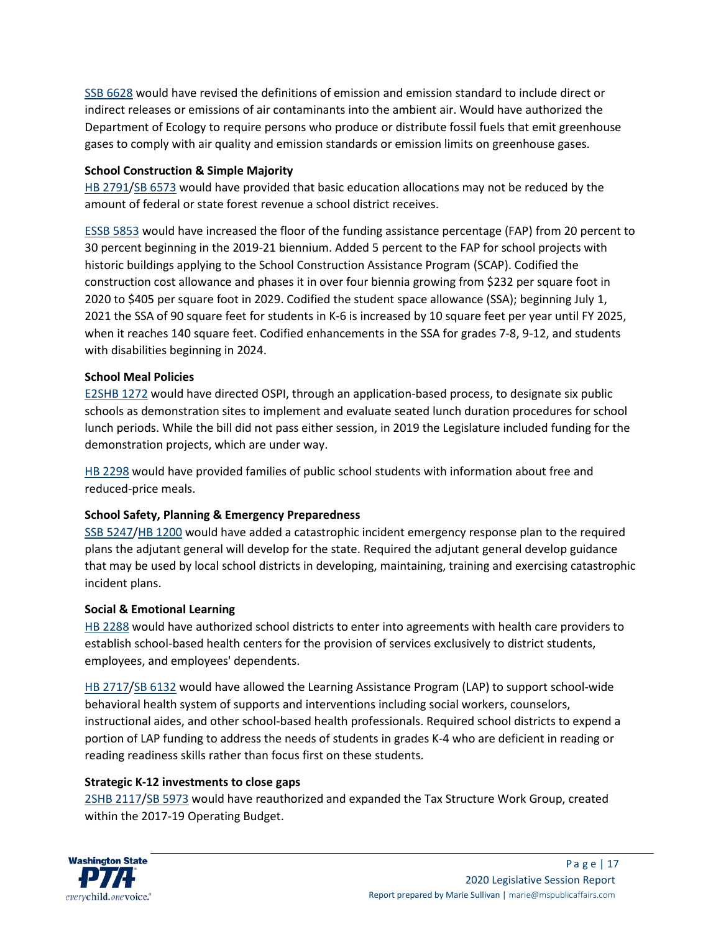[SSB 6628](https://app.leg.wa.gov/billsummary?BillNumber=6628&Initiative=false&Year=2019) would have revised the definitions of emission and emission standard to include direct or indirect releases or emissions of air contaminants into the ambient air. Would have authorized the Department of Ecology to require persons who produce or distribute fossil fuels that emit greenhouse gases to comply with air quality and emission standards or emission limits on greenhouse gases.

### **School Construction & Simple Majority**

[HB 2791/](https://app.leg.wa.gov/billsummary?BillNumber=2791&Initiative=false&Year=2019)[SB 6573](https://app.leg.wa.gov/billsummary?BillNumber=6573&Chamber=Senate&Year=2019) would have provided that basic education allocations may not be reduced by the amount of federal or state forest revenue a school district receives.

[ESSB 5853](https://app.leg.wa.gov/billsummary?BillNumber=5853&Initiative=false&Year=2019) would have increased the floor of the funding assistance percentage (FAP) from 20 percent to 30 percent beginning in the 2019-21 biennium. Added 5 percent to the FAP for school projects with historic buildings applying to the School Construction Assistance Program (SCAP). Codified the construction cost allowance and phases it in over four biennia growing from \$232 per square foot in 2020 to \$405 per square foot in 2029. Codified the student space allowance (SSA); beginning July 1, 2021 the SSA of 90 square feet for students in K-6 is increased by 10 square feet per year until FY 2025, when it reaches 140 square feet. Codified enhancements in the SSA for grades 7-8, 9-12, and students with disabilities beginning in 2024.

#### **School Meal Policies**

[E2SHB](https://app.leg.wa.gov/billsummary?BillNumber=1272&Initiative=false&Year=2019) 1272 would have directed OSPI, through an application-based process, to designate six public schools as demonstration sites to implement and evaluate seated lunch duration procedures for school lunch periods. While the bill did not pass either session, in 2019 the Legislature included funding for the demonstration projects, which are under way.

[HB 2298](https://app.leg.wa.gov/billsummary?BillNumber=2298&Initiative=false&Year=2019) would have provided families of public school students with information about free and reduced-price meals.

# **School Safety, Planning & Emergency Preparedness**

[SSB 5247](https://app.leg.wa.gov/billsummary?BillNumber=5247&Initiative=false&Year=2019)[/HB 1200](https://app.leg.wa.gov/billsummary?BillNumber=1200&Chamber=House&Year=2019) would have added a catastrophic incident emergency response plan to the required plans the adjutant general will develop for the state. Required the adjutant general develop guidance that may be used by local school districts in developing, maintaining, training and exercising catastrophic incident plans.

#### **Social & Emotional Learning**

[HB 2288](https://app.leg.wa.gov/billsummary?BillNumber=2288&Initiative=false&Year=2019) would have authorized school districts to enter into agreements with health care providers to establish school-based health centers for the provision of services exclusively to district students, employees, and employees' dependents.

[HB 2717/](https://app.leg.wa.gov/billsummary?BillNumber=2717&Initiative=false&Year=2019)SB [6132](https://app.leg.wa.gov/billsummary?BillNumber=6132&Chamber=Senate&Year=2019) would have allowed the Learning Assistance Program (LAP) to support school-wide behavioral health system of supports and interventions including social workers, counselors, instructional aides, and other school-based health professionals. Required school districts to expend a portion of LAP funding to address the needs of students in grades K-4 who are deficient in reading or reading readiness skills rather than focus first on these students.

#### **Strategic K-12 investments to close gaps**

[2SHB 2117/](https://app.leg.wa.gov/billsummary?BillNumber=2117&Initiative=false&Year=2019)[SB 5973](https://app.leg.wa.gov/billsummary?BillNumber=5973&Chamber=Senate&Year=2019) would have reauthorized and expanded the Tax Structure Work Group, created within the 2017-19 Operating Budget.

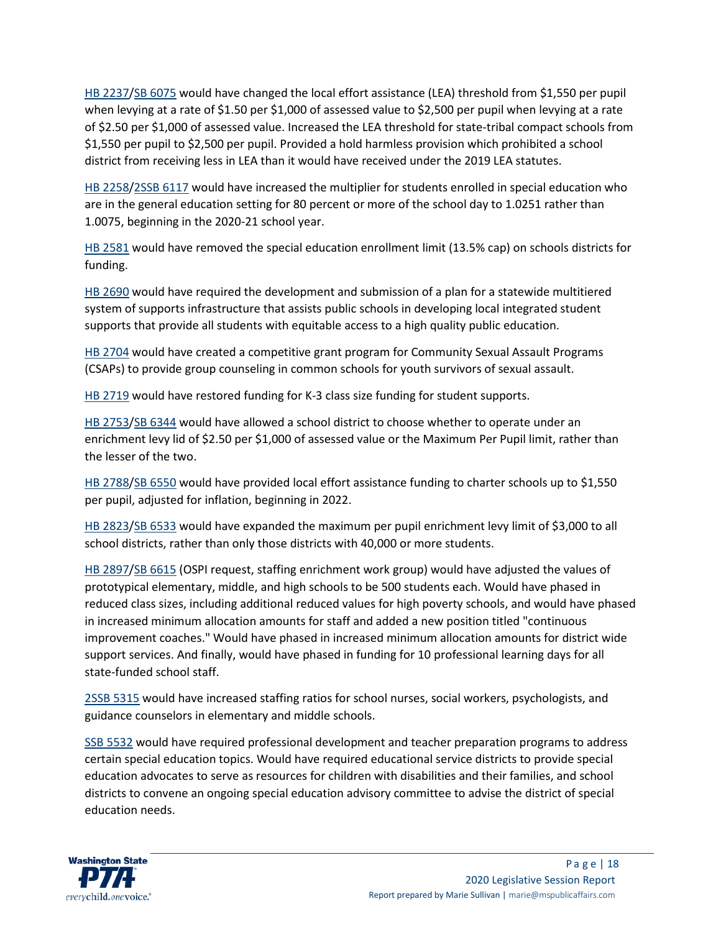[HB 2237/](https://app.leg.wa.gov/billsummary?BillNumber=2237&Initiative=false&Year=2019)[SB 6075](https://app.leg.wa.gov/billsummary?BillNumber=6075&Chamber=Senate&Year=2019) would have changed the local effort assistance (LEA) threshold from \$1,550 per pupil when levying at a rate of \$1.50 per \$1,000 of assessed value to \$2,500 per pupil when levying at a rate of \$2.50 per \$1,000 of assessed value. Increased the LEA threshold for state-tribal compact schools from \$1,550 per pupil to \$2,500 per pupil. Provided a hold harmless provision which prohibited a school district from receiving less in LEA than it would have received under the 2019 LEA statutes.

[HB 2258/](https://app.leg.wa.gov/billsummary?BillNumber=2258&Initiative=false&Year=2019)[2SSB 6117](https://app.leg.wa.gov/billsummary?BillNumber=6117&Chamber=Senate&Year=2019) would have increased the multiplier for students enrolled in special education who are in the general education setting for 80 percent or more of the school day to 1.0251 rather than 1.0075, beginning in the 2020-21 school year.

HB [2581](https://app.leg.wa.gov/billsummary?BillNumber=2581&Initiative=false&Year=2019) would have removed the special education enrollment limit (13.5% cap) on schools districts for funding.

[HB 2690](https://app.leg.wa.gov/billsummary?BillNumber=2690&Initiative=false&Year=2019) would have required the development and submission of a plan for a statewide multitiered system of supports infrastructure that assists public schools in developing local integrated student supports that provide all students with equitable access to a high quality public education.

[HB 2704](https://app.leg.wa.gov/billsummary?BillNumber=2704&Initiative=false&Year=2019) would have created a competitive grant program for Community Sexual Assault Programs (CSAPs) to provide group counseling in common schools for youth survivors of sexual assault.

[HB 2719](https://app.leg.wa.gov/billsummary?BillNumber=2719&Initiative=false&Year=2019) would have restored funding for K-3 class size funding for student supports.

[HB 2753/](https://app.leg.wa.gov/billsummary?BillNumber=2753&Initiative=false&Year=2019)[SB 6344](https://app.leg.wa.gov/billsummary?BillNumber=6344&Chamber=Senate&Year=2019) would have allowed a school district to choose whether to operate under an enrichment levy lid of \$2.50 per \$1,000 of assessed value or the Maximum Per Pupil limit, rather than the lesser of the two.

[HB 2788/](https://app.leg.wa.gov/billsummary?BillNumber=2788&Initiative=false&Year=2019)[SB 6550](https://app.leg.wa.gov/billsummary?BillNumber=6550&Chamber=Senate&Year=2019) would have provided local effort assistance funding to charter schools up to \$1,550 per pupil, adjusted for inflation, beginning in 2022.

[HB 2823/](https://app.leg.wa.gov/billsummary?BillNumber=2823&Initiative=false&Year=2019)[SB 6533](https://app.leg.wa.gov/billsummary?BillNumber=6533&Chamber=Senate&Year=2019) would have expanded the maximum per pupil enrichment levy limit of \$3,000 to all school districts, rather than only those districts with 40,000 or more students.

[HB 2897/](https://app.leg.wa.gov/billsummary?BillNumber=2897&Initiative=false&Year=2019)[SB 6615](https://app.leg.wa.gov/billsummary?BillNumber=6615&Chamber=Senate&Year=2019) (OSPI request, staffing enrichment work group) would have adjusted the values of prototypical elementary, middle, and high schools to be 500 students each. Would have phased in reduced class sizes, including additional reduced values for high poverty schools, and would have phased in increased minimum allocation amounts for staff and added a new position titled "continuous improvement coaches." Would have phased in increased minimum allocation amounts for district wide support services. And finally, would have phased in funding for 10 professional learning days for all state-funded school staff.

[2SSB 5315](https://app.leg.wa.gov/billsummary?BillNumber=5315&Initiative=false&Year=2019) would have increased staffing ratios for school nurses, social workers, psychologists, and guidance counselors in elementary and middle schools.

[SSB 5532](https://app.leg.wa.gov/billsummary?BillNumber=5532&Initiative=false&Year=2019) would have required professional development and teacher preparation programs to address certain special education topics. Would have required educational service districts to provide special education advocates to serve as resources for children with disabilities and their families, and school districts to convene an ongoing special education advisory committee to advise the district of special education needs.

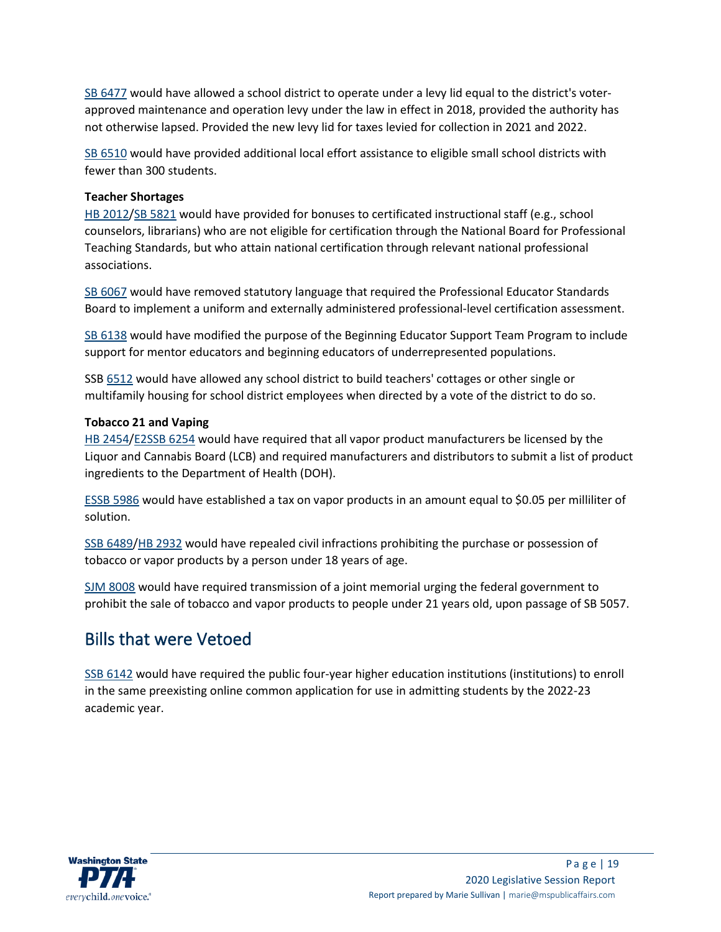[SB 6477](https://app.leg.wa.gov/billsummary?BillNumber=6477&Initiative=false&Year=2019) would have allowed a school district to operate under a levy lid equal to the district's voterapproved maintenance and operation levy under the law in effect in 2018, provided the authority has not otherwise lapsed. Provided the new levy lid for taxes levied for collection in 2021 and 2022.

[SB 6510](https://app.leg.wa.gov/billsummary?BillNumber=6510&Initiative=false&Year=2019) would have provided additional local effort assistance to eligible small school districts with fewer than 300 students.

#### **Teacher Shortages**

[HB 2012/](https://app.leg.wa.gov/billsummary?BillNumber=2012&Initiative=false&Year=2019)[SB 5821](https://app.leg.wa.gov/billsummary?BillNumber=5821&Chamber=Senate&Year=2019) would have provided for bonuses to certificated instructional staff (e.g., school counselors, librarians) who are not eligible for certification through the National Board for Professional Teaching Standards, but who attain national certification through relevant national professional associations.

[SB 6067](https://app.leg.wa.gov/billsummary?BillNumber=6067&Initiative=false&Year=2019) would have removed statutory language that required the Professional Educator Standards Board to implement a uniform and externally administered professional-level certification assessment.

[SB 6138](https://app.leg.wa.gov/billsummary?BillNumber=6138&Initiative=false&Year=2019) would have modified the purpose of the Beginning Educator Support Team Program to include support for mentor educators and beginning educators of underrepresented populations.

SS[B 6512](https://app.leg.wa.gov/billsummary?BillNumber=6512&Initiative=false&Year=2019) would have allowed any school district to build teachers' cottages or other single or multifamily housing for school district employees when directed by a vote of the district to do so.

#### **Tobacco 21 and Vaping**

[HB 2454/](https://app.leg.wa.gov/billsummary?BillNumber=2454&Initiative=false&Year=2019)[E2SSB 6254](https://app.leg.wa.gov/billsummary?BillNumber=6254&Chamber=Senate&Year=2019) would have required that all vapor product manufacturers be licensed by the Liquor and Cannabis Board (LCB) and required manufacturers and distributors to submit a list of product ingredients to the Department of Health (DOH).

[ESSB 5986](https://app.leg.wa.gov/billsummary?BillNumber=5986&Initiative=false&Year=2019) would have established a tax on vapor products in an amount equal to \$0.05 per milliliter of solution.

SSB [6489](https://app.leg.wa.gov/billsummary?BillNumber=6489&Initiative=false&Year=2019)[/HB 2932](https://app.leg.wa.gov/billsummary?BillNumber=2932&Chamber=House&Year=2019) would have repealed civil infractions prohibiting the purchase or possession of tobacco or vapor products by a person under 18 years of age.

[SJM 8008](https://app.leg.wa.gov/billsummary?BillNumber=8008&Initiative=false&Year=2019) would have required transmission of a joint memorial urging the federal government to prohibit the sale of tobacco and vapor products to people under 21 years old, upon passage of SB 5057.

# Bills that were Vetoed

[SSB 6142](https://app.leg.wa.gov/billsummary?BillNumber=6142&Initiative=false&Year=2019) would have required the public four-year higher education institutions (institutions) to enroll in the same preexisting online common application for use in admitting students by the 2022-23 academic year.

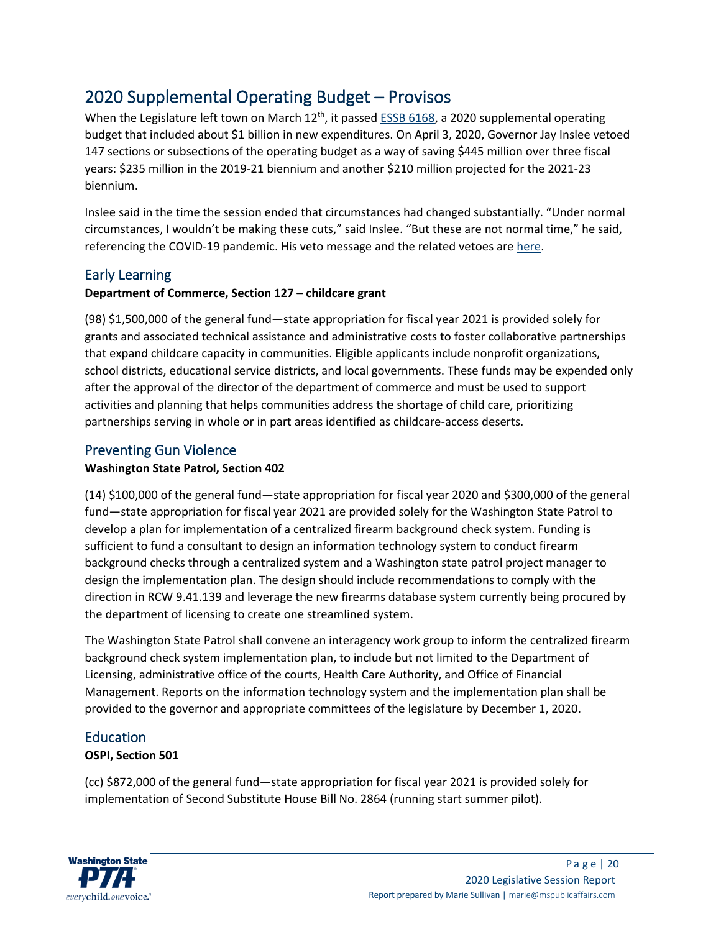# 2020 Supplemental Operating Budget – Provisos

When the Legislature left town on March 12<sup>th</sup>, it passed [ESSB 6168,](http://leap.leg.wa.gov/leap/budget/lbns/2020Omni6168-S.SL.pdf) a 2020 supplemental operating budget that included about \$1 billion in new expenditures. On April 3, 2020, Governor Jay Inslee vetoed 147 sections or subsections of the operating budget as a way of saving \$445 million over three fiscal years: \$235 million in the 2019-21 biennium and another \$210 million projected for the 2021-23 biennium.

Inslee said in the time the session ended that circumstances had changed substantially. "Under normal circumstances, I wouldn't be making these cuts," said Inslee. "But these are not normal time," he said, referencing the COVID-19 pandemic. His veto message and the related vetoes are [here.](https://crmpublicwebservice.des.wa.gov/bats/attachment/vetomessage/8930d3e7-0c76-ea11-8181-005056ba1db5)

# Early Learning

# **Department of Commerce, Section 127 – childcare grant**

(98) \$1,500,000 of the general fund—state appropriation for fiscal year 2021 is provided solely for grants and associated technical assistance and administrative costs to foster collaborative partnerships that expand childcare capacity in communities. Eligible applicants include nonprofit organizations, school districts, educational service districts, and local governments. These funds may be expended only after the approval of the director of the department of commerce and must be used to support activities and planning that helps communities address the shortage of child care, prioritizing partnerships serving in whole or in part areas identified as childcare-access deserts.

# Preventing Gun Violence

# **Washington State Patrol, Section 402**

(14) \$100,000 of the general fund—state appropriation for fiscal year 2020 and \$300,000 of the general fund—state appropriation for fiscal year 2021 are provided solely for the Washington State Patrol to develop a plan for implementation of a centralized firearm background check system. Funding is sufficient to fund a consultant to design an information technology system to conduct firearm background checks through a centralized system and a Washington state patrol project manager to design the implementation plan. The design should include recommendations to comply with the direction in RCW 9.41.139 and leverage the new firearms database system currently being procured by the department of licensing to create one streamlined system.

The Washington State Patrol shall convene an interagency work group to inform the centralized firearm background check system implementation plan, to include but not limited to the Department of Licensing, administrative office of the courts, Health Care Authority, and Office of Financial Management. Reports on the information technology system and the implementation plan shall be provided to the governor and appropriate committees of the legislature by December 1, 2020.

# Education

# **OSPI, Section 501**

(cc) \$872,000 of the general fund—state appropriation for fiscal year 2021 is provided solely for implementation of Second Substitute House Bill No. 2864 (running start summer pilot).

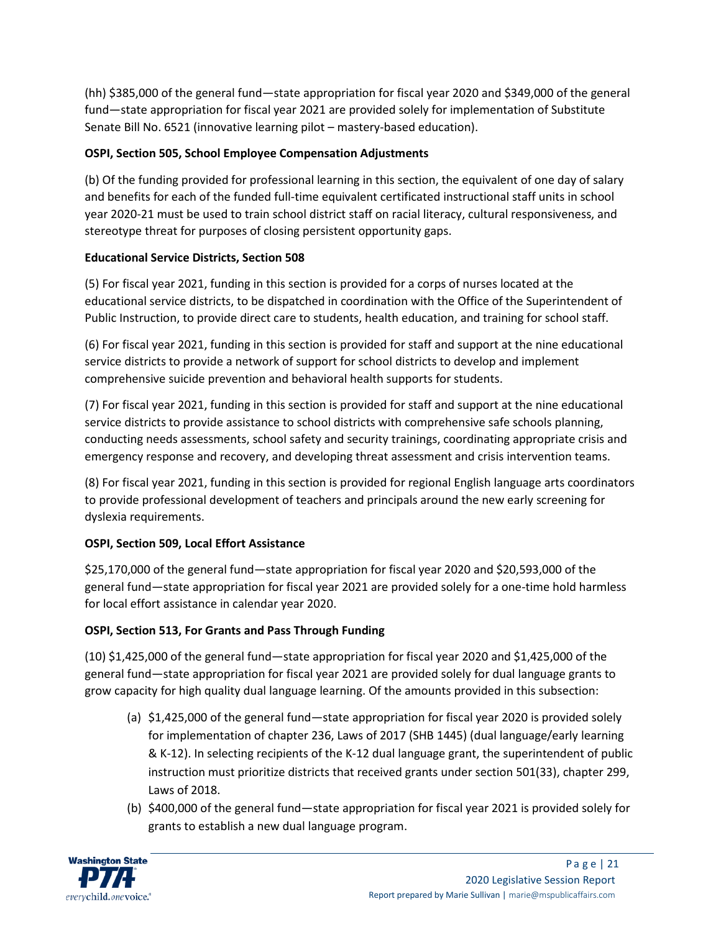(hh) \$385,000 of the general fund—state appropriation for fiscal year 2020 and \$349,000 of the general fund—state appropriation for fiscal year 2021 are provided solely for implementation of Substitute Senate Bill No. 6521 (innovative learning pilot – mastery-based education).

# **OSPI, Section 505, School Employee Compensation Adjustments**

(b) Of the funding provided for professional learning in this section, the equivalent of one day of salary and benefits for each of the funded full-time equivalent certificated instructional staff units in school year 2020-21 must be used to train school district staff on racial literacy, cultural responsiveness, and stereotype threat for purposes of closing persistent opportunity gaps.

# **Educational Service Districts, Section 508**

(5) For fiscal year 2021, funding in this section is provided for a corps of nurses located at the educational service districts, to be dispatched in coordination with the Office of the Superintendent of Public Instruction, to provide direct care to students, health education, and training for school staff.

(6) For fiscal year 2021, funding in this section is provided for staff and support at the nine educational service districts to provide a network of support for school districts to develop and implement comprehensive suicide prevention and behavioral health supports for students.

(7) For fiscal year 2021, funding in this section is provided for staff and support at the nine educational service districts to provide assistance to school districts with comprehensive safe schools planning, conducting needs assessments, school safety and security trainings, coordinating appropriate crisis and emergency response and recovery, and developing threat assessment and crisis intervention teams.

(8) For fiscal year 2021, funding in this section is provided for regional English language arts coordinators to provide professional development of teachers and principals around the new early screening for dyslexia requirements.

# **OSPI, Section 509, Local Effort Assistance**

\$25,170,000 of the general fund—state appropriation for fiscal year 2020 and \$20,593,000 of the general fund—state appropriation for fiscal year 2021 are provided solely for a one-time hold harmless for local effort assistance in calendar year 2020.

# **OSPI, Section 513, For Grants and Pass Through Funding**

(10) \$1,425,000 of the general fund—state appropriation for fiscal year 2020 and \$1,425,000 of the general fund—state appropriation for fiscal year 2021 are provided solely for dual language grants to grow capacity for high quality dual language learning. Of the amounts provided in this subsection:

- (a) \$1,425,000 of the general fund—state appropriation for fiscal year 2020 is provided solely for implementation of chapter 236, Laws of 2017 (SHB 1445) (dual language/early learning & K-12). In selecting recipients of the K-12 dual language grant, the superintendent of public instruction must prioritize districts that received grants under section 501(33), chapter 299, Laws of 2018.
- (b) \$400,000 of the general fund—state appropriation for fiscal year 2021 is provided solely for grants to establish a new dual language program.

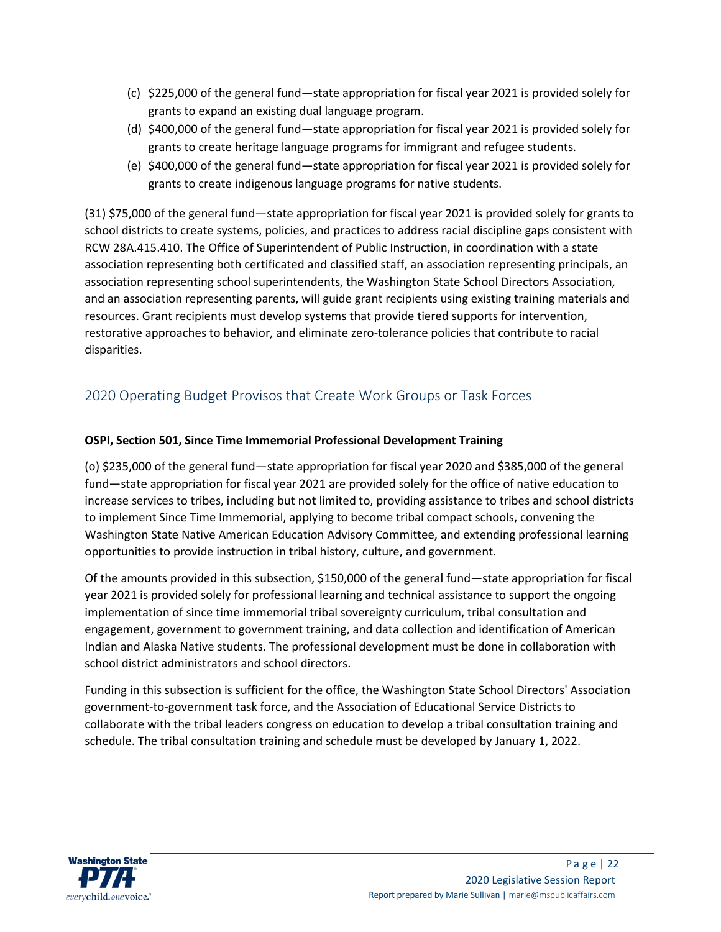- (c) \$225,000 of the general fund—state appropriation for fiscal year 2021 is provided solely for grants to expand an existing dual language program.
- (d) \$400,000 of the general fund—state appropriation for fiscal year 2021 is provided solely for grants to create heritage language programs for immigrant and refugee students.
- (e) \$400,000 of the general fund—state appropriation for fiscal year 2021 is provided solely for grants to create indigenous language programs for native students.

(31) \$75,000 of the general fund—state appropriation for fiscal year 2021 is provided solely for grants to school districts to create systems, policies, and practices to address racial discipline gaps consistent with RCW 28A.415.410. The Office of Superintendent of Public Instruction, in coordination with a state association representing both certificated and classified staff, an association representing principals, an association representing school superintendents, the Washington State School Directors Association, and an association representing parents, will guide grant recipients using existing training materials and resources. Grant recipients must develop systems that provide tiered supports for intervention, restorative approaches to behavior, and eliminate zero-tolerance policies that contribute to racial disparities.

# 2020 Operating Budget Provisos that Create Work Groups or Task Forces

# **OSPI, Section 501, Since Time Immemorial Professional Development Training**

(o) \$235,000 of the general fund—state appropriation for fiscal year 2020 and \$385,000 of the general fund—state appropriation for fiscal year 2021 are provided solely for the office of native education to increase services to tribes, including but not limited to, providing assistance to tribes and school districts to implement Since Time Immemorial, applying to become tribal compact schools, convening the Washington State Native American Education Advisory Committee, and extending professional learning opportunities to provide instruction in tribal history, culture, and government.

Of the amounts provided in this subsection, \$150,000 of the general fund—state appropriation for fiscal year 2021 is provided solely for professional learning and technical assistance to support the ongoing implementation of since time immemorial tribal sovereignty curriculum, tribal consultation and engagement, government to government training, and data collection and identification of American Indian and Alaska Native students. The professional development must be done in collaboration with school district administrators and school directors.

Funding in this subsection is sufficient for the office, the Washington State School Directors' Association government-to-government task force, and the Association of Educational Service Districts to collaborate with the tribal leaders congress on education to develop a tribal consultation training and schedule. The tribal consultation training and schedule must be developed by January 1, 2022.

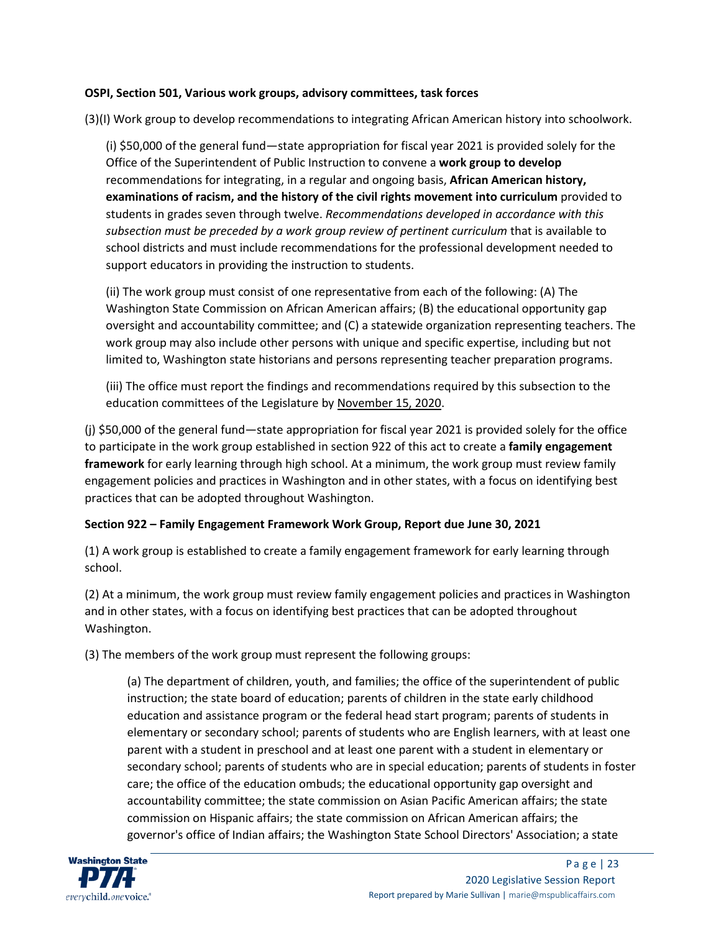#### **OSPI, Section 501, Various work groups, advisory committees, task forces**

(3)(I) Work group to develop recommendations to integrating African American history into schoolwork.

(i) \$50,000 of the general fund—state appropriation for fiscal year 2021 is provided solely for the Office of the Superintendent of Public Instruction to convene a **work group to develop** recommendations for integrating, in a regular and ongoing basis, **African American history, examinations of racism, and the history of the civil rights movement into curriculum** provided to students in grades seven through twelve. *Recommendations developed in accordance with this subsection must be preceded by a work group review of pertinent curriculum* that is available to school districts and must include recommendations for the professional development needed to support educators in providing the instruction to students.

(ii) The work group must consist of one representative from each of the following: (A) The Washington State Commission on African American affairs; (B) the educational opportunity gap oversight and accountability committee; and (C) a statewide organization representing teachers. The work group may also include other persons with unique and specific expertise, including but not limited to, Washington state historians and persons representing teacher preparation programs.

(iii) The office must report the findings and recommendations required by this subsection to the education committees of the Legislature by November 15, 2020.

(j) \$50,000 of the general fund—state appropriation for fiscal year 2021 is provided solely for the office to participate in the work group established in section 922 of this act to create a **family engagement framework** for early learning through high school. At a minimum, the work group must review family engagement policies and practices in Washington and in other states, with a focus on identifying best practices that can be adopted throughout Washington.

# **Section 922 – Family Engagement Framework Work Group, Report due June 30, 2021**

(1) A work group is established to create a family engagement framework for early learning through school.

(2) At a minimum, the work group must review family engagement policies and practices in Washington and in other states, with a focus on identifying best practices that can be adopted throughout Washington.

(3) The members of the work group must represent the following groups:

(a) The department of children, youth, and families; the office of the superintendent of public instruction; the state board of education; parents of children in the state early childhood education and assistance program or the federal head start program; parents of students in elementary or secondary school; parents of students who are English learners, with at least one parent with a student in preschool and at least one parent with a student in elementary or secondary school; parents of students who are in special education; parents of students in foster care; the office of the education ombuds; the educational opportunity gap oversight and accountability committee; the state commission on Asian Pacific American affairs; the state commission on Hispanic affairs; the state commission on African American affairs; the governor's office of Indian affairs; the Washington State School Directors' Association; a state

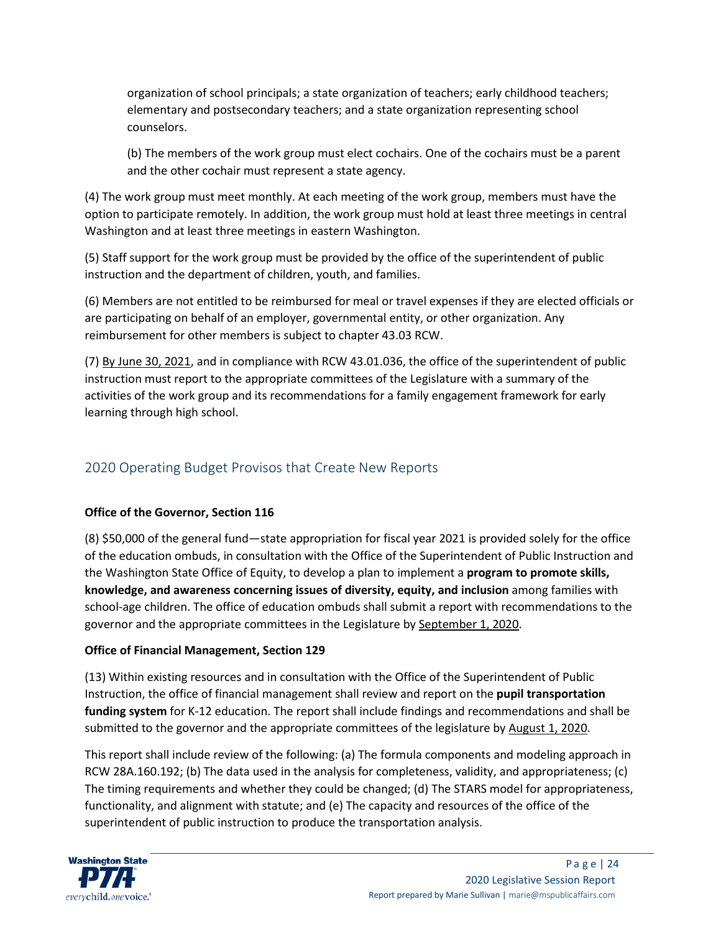organization of school principals; a state organization of teachers; early childhood teachers; elementary and postsecondary teachers; and a state organization representing school counselors.

(b) The members of the work group must elect cochairs. One of the cochairs must be a parent and the other cochair must represent a state agency.

(4) The work group must meet monthly. At each meeting of the work group, members must have the option to participate remotely. In addition, the work group must hold at least three meetings in central Washington and at least three meetings in eastern Washington.

(5) Staff support for the work group must be provided by the office of the superintendent of public instruction and the department of children, youth, and families.

(6) Members are not entitled to be reimbursed for meal or travel expenses if they are elected officials or are participating on behalf of an employer, governmental entity, or other organization. Any reimbursement for other members is subject to chapter 43.03 RCW.

(7) By June 30, 2021, and in compliance with RCW 43.01.036, the office of the superintendent of public instruction must report to the appropriate committees of the Legislature with a summary of the activities of the work group and its recommendations for a family engagement framework for early learning through high school.

# 2020 Operating Budget Provisos that Create New Reports

# **Office of the Governor, Section 116**

(8) \$50,000 of the general fund—state appropriation for fiscal year 2021 is provided solely for the office of the education ombuds, in consultation with the Office of the Superintendent of Public Instruction and the Washington State Office of Equity, to develop a plan to implement a **program to promote skills, knowledge, and awareness concerning issues of diversity, equity, and inclusion** among families with school-age children. The office of education ombuds shall submit a report with recommendations to the governor and the appropriate committees in the Legislature by September 1, 2020.

# **Office of Financial Management, Section 129**

(13) Within existing resources and in consultation with the Office of the Superintendent of Public Instruction, the office of financial management shall review and report on the **pupil transportation funding system** for K-12 education. The report shall include findings and recommendations and shall be submitted to the governor and the appropriate committees of the legislature by August 1, 2020.

This report shall include review of the following: (a) The formula components and modeling approach in RCW 28A.160.192; (b) The data used in the analysis for completeness, validity, and appropriateness; (c) The timing requirements and whether they could be changed; (d) The STARS model for appropriateness, functionality, and alignment with statute; and (e) The capacity and resources of the office of the superintendent of public instruction to produce the transportation analysis.

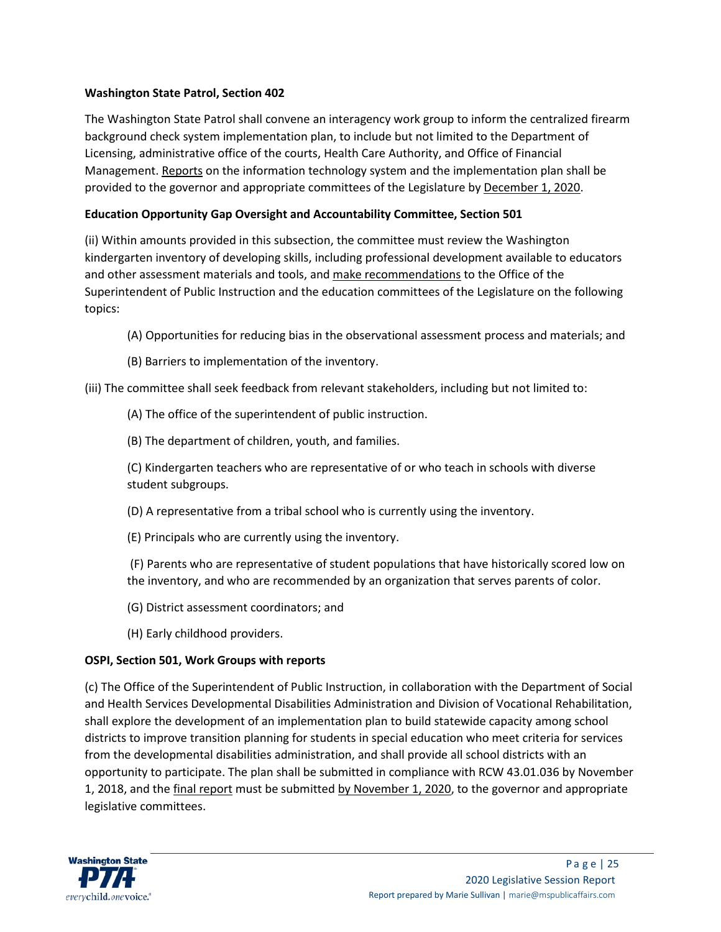# **Washington State Patrol, Section 402**

The Washington State Patrol shall convene an interagency work group to inform the centralized firearm background check system implementation plan, to include but not limited to the Department of Licensing, administrative office of the courts, Health Care Authority, and Office of Financial Management. Reports on the information technology system and the implementation plan shall be provided to the governor and appropriate committees of the Legislature by December 1, 2020.

### **Education Opportunity Gap Oversight and Accountability Committee, Section 501**

(ii) Within amounts provided in this subsection, the committee must review the Washington kindergarten inventory of developing skills, including professional development available to educators and other assessment materials and tools, and make recommendations to the Office of the Superintendent of Public Instruction and the education committees of the Legislature on the following topics:

- (A) Opportunities for reducing bias in the observational assessment process and materials; and
- (B) Barriers to implementation of the inventory.

(iii) The committee shall seek feedback from relevant stakeholders, including but not limited to:

(A) The office of the superintendent of public instruction.

(B) The department of children, youth, and families.

(C) Kindergarten teachers who are representative of or who teach in schools with diverse student subgroups.

(D) A representative from a tribal school who is currently using the inventory.

(E) Principals who are currently using the inventory.

(F) Parents who are representative of student populations that have historically scored low on the inventory, and who are recommended by an organization that serves parents of color.

(G) District assessment coordinators; and

(H) Early childhood providers.

# **OSPI, Section 501, Work Groups with reports**

(c) The Office of the Superintendent of Public Instruction, in collaboration with the Department of Social and Health Services Developmental Disabilities Administration and Division of Vocational Rehabilitation, shall explore the development of an implementation plan to build statewide capacity among school districts to improve transition planning for students in special education who meet criteria for services from the developmental disabilities administration, and shall provide all school districts with an opportunity to participate. The plan shall be submitted in compliance with RCW 43.01.036 by November 1, 2018, and the final report must be submitted by November 1, 2020, to the governor and appropriate legislative committees.

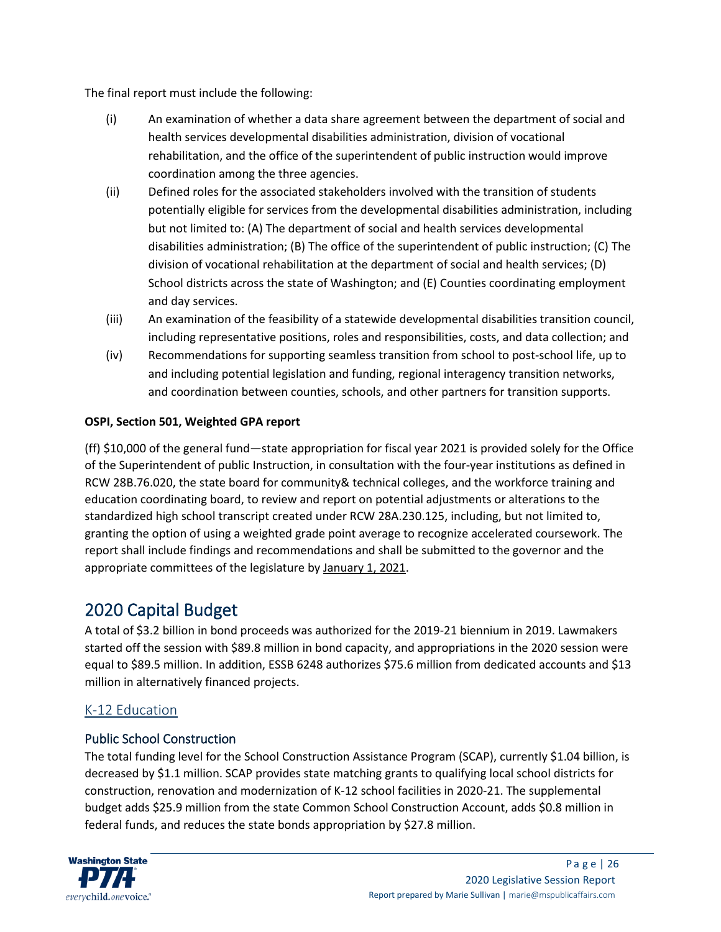The final report must include the following:

- (i) An examination of whether a data share agreement between the department of social and health services developmental disabilities administration, division of vocational rehabilitation, and the office of the superintendent of public instruction would improve coordination among the three agencies.
- (ii) Defined roles for the associated stakeholders involved with the transition of students potentially eligible for services from the developmental disabilities administration, including but not limited to: (A) The department of social and health services developmental disabilities administration; (B) The office of the superintendent of public instruction; (C) The division of vocational rehabilitation at the department of social and health services; (D) School districts across the state of Washington; and (E) Counties coordinating employment and day services.
- (iii) An examination of the feasibility of a statewide developmental disabilities transition council, including representative positions, roles and responsibilities, costs, and data collection; and
- (iv) Recommendations for supporting seamless transition from school to post-school life, up to and including potential legislation and funding, regional interagency transition networks, and coordination between counties, schools, and other partners for transition supports.

# **OSPI, Section 501, Weighted GPA report**

(ff) \$10,000 of the general fund—state appropriation for fiscal year 2021 is provided solely for the Office of the Superintendent of public Instruction, in consultation with the four-year institutions as defined in RCW 28B.76.020, the state board for community& technical colleges, and the workforce training and education coordinating board, to review and report on potential adjustments or alterations to the standardized high school transcript created under RCW 28A.230.125, including, but not limited to, granting the option of using a weighted grade point average to recognize accelerated coursework. The report shall include findings and recommendations and shall be submitted to the governor and the appropriate committees of the legislature by January 1, 2021.

# 2020 Capital Budget

A total of \$3.2 billion in bond proceeds was authorized for the 2019-21 biennium in 2019. Lawmakers started off the session with \$89.8 million in bond capacity, and appropriations in the 2020 session were equal to \$89.5 million. In addition, ESSB 6248 authorizes \$75.6 million from dedicated accounts and \$13 million in alternatively financed projects.

# K-12 Education

# Public School Construction

The total funding level for the School Construction Assistance Program (SCAP), currently \$1.04 billion, is decreased by \$1.1 million. SCAP provides state matching grants to qualifying local school districts for construction, renovation and modernization of K-12 school facilities in 2020-21. The supplemental budget adds \$25.9 million from the state Common School Construction Account, adds \$0.8 million in federal funds, and reduces the state bonds appropriation by \$27.8 million.

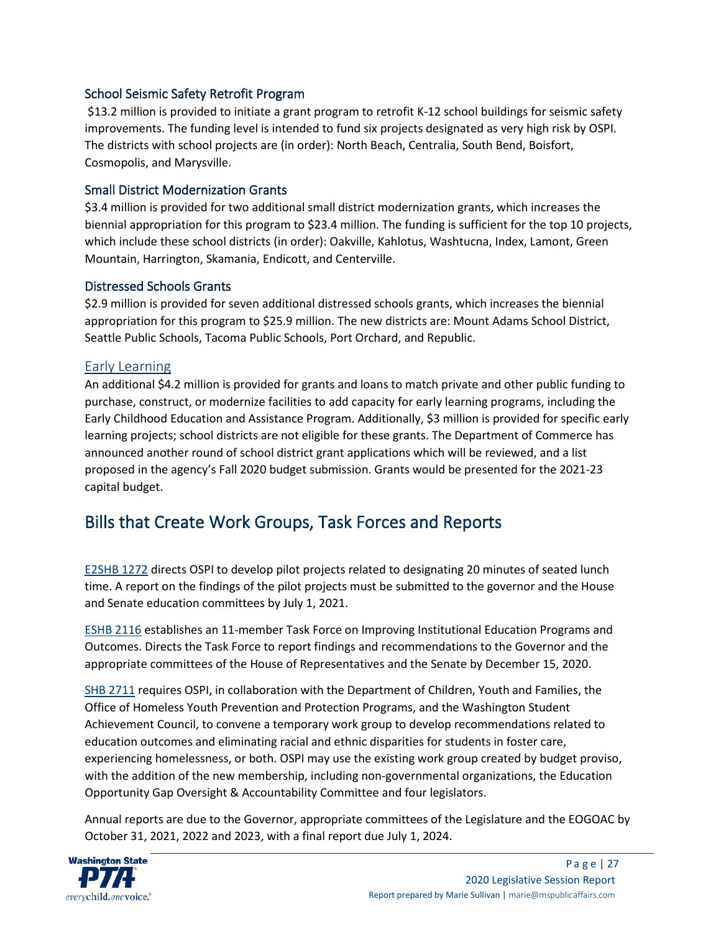# School Seismic Safety Retrofit Program

\$13.2 million is provided to initiate a grant program to retrofit K-12 school buildings for seismic safety improvements. The funding level is intended to fund six projects designated as very high risk by OSPI. The districts with school projects are (in order): North Beach, Centralia, South Bend, Boisfort, Cosmopolis, and Marysville.

# Small District Modernization Grants

\$3.4 million is provided for two additional small district modernization grants, which increases the biennial appropriation for this program to \$23.4 million. The funding is sufficient for the top 10 projects, which include these school districts (in order): Oakville, Kahlotus, Washtucna, Index, Lamont, Green Mountain, Harrington, Skamania, Endicott, and Centerville.

# Distressed Schools Grants

\$2.9 million is provided for seven additional distressed schools grants, which increases the biennial appropriation for this program to \$25.9 million. The new districts are: Mount Adams School District, Seattle Public Schools, Tacoma Public Schools, Port Orchard, and Republic.

# Early Learning

An additional \$4.2 million is provided for grants and loans to match private and other public funding to purchase, construct, or modernize facilities to add capacity for early learning programs, including the Early Childhood Education and Assistance Program. Additionally, \$3 million is provided for specific early learning projects; school districts are not eligible for these grants. The Department of Commerce has announced another round of school district grant applications which will be reviewed, and a list proposed in the agency's Fall 2020 budget submission. Grants would be presented for the 2021-23 capital budget.

# Bills that Create Work Groups, Task Forces and Reports

[E2SHB 1272](https://app.leg.wa.gov/billsummary?BillNumber=1272&Initiative=false&Year=2019) directs OSPI to develop pilot projects related to designating 20 minutes of seated lunch time. A report on the findings of the pilot projects must be submitted to the governor and the House and Senate education committees by July 1, 2021.

[ESHB 2116](https://app.leg.wa.gov/billsummary?BillNumber=2116&Initiative=false&Year=2019) establishes an 11-member Task Force on Improving Institutional Education Programs and Outcomes. Directs the Task Force to report findings and recommendations to the Governor and the appropriate committees of the House of Representatives and the Senate by December 15, 2020.

[SHB 2711](https://app.leg.wa.gov/billsummary?BillNumber=2711&Initiative=false&Year=2019) requires OSPI, in collaboration with the Department of Children, Youth and Families, the Office of Homeless Youth Prevention and Protection Programs, and the Washington Student Achievement Council, to convene a temporary work group to develop recommendations related to education outcomes and eliminating racial and ethnic disparities for students in foster care, experiencing homelessness, or both. OSPI may use the existing work group created by budget proviso, with the addition of the new membership, including non-governmental organizations, the Education Opportunity Gap Oversight & Accountability Committee and four legislators.

Annual reports are due to the Governor, appropriate committees of the Legislature and the EOGOAC by October 31, 2021, 2022 and 2023, with a final report due July 1, 2024.

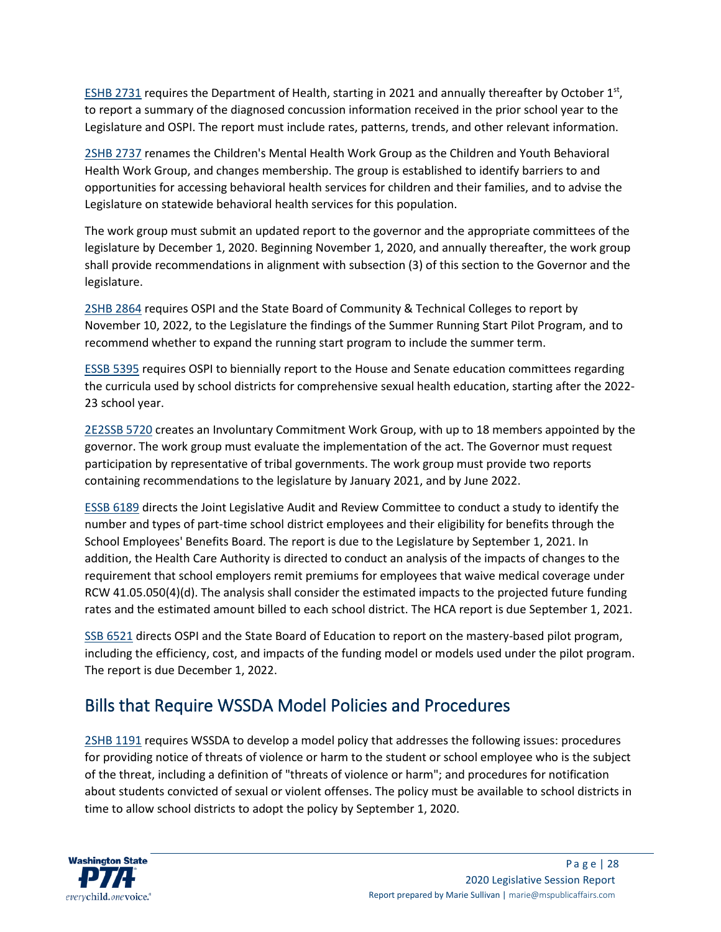[ESHB 2731](https://app.leg.wa.gov/billsummary?BillNumber=2737&Initiative=false&Year=2019) requires the Department of Health, starting in 2021 and annually thereafter by October  $1<sup>st</sup>$ , to report a summary of the diagnosed concussion information received in the prior school year to the Legislature and OSPI. The report must include rates, patterns, trends, and other relevant information.

[2SHB 2737](https://app.leg.wa.gov/billsummary?BillNumber=2737&Initiative=false&Year=2019) renames the Children's Mental Health Work Group as the Children and Youth Behavioral Health Work Group, and changes membership. The group is established to identify barriers to and opportunities for accessing behavioral health services for children and their families, and to advise the Legislature on statewide behavioral health services for this population.

The work group must submit an updated report to the governor and the appropriate committees of the legislature by December 1, 2020. Beginning November 1, 2020, and annually thereafter, the work group shall provide recommendations in alignment with subsection (3) of this section to the Governor and the legislature.

[2SHB 2864](https://app.leg.wa.gov/billsummary?BillNumber=2864&Initiative=false&Year=2019) requires OSPI and the State Board of Community & Technical Colleges to report by November 10, 2022, to the Legislature the findings of the Summer Running Start Pilot Program, and to recommend whether to expand the running start program to include the summer term.

[ESSB 5395](https://app.leg.wa.gov/billsummary?BillNumber=5395&Initiative=false&Year=2019) requires OSPI to biennially report to the House and Senate education committees regarding the curricula used by school districts for comprehensive sexual health education, starting after the 2022- 23 school year.

[2E2SSB 5720](https://app.leg.wa.gov/billsummary?BillNumber=5720&Initiative=false&Year=2019) creates an Involuntary Commitment Work Group, with up to 18 members appointed by the governor. The work group must evaluate the implementation of the act. The Governor must request participation by representative of tribal governments. The work group must provide two reports containing recommendations to the legislature by January 2021, and by June 2022.

[ESSB 6189](https://app.leg.wa.gov/billsummary?BillNumber=6189&Initiative=false&Year=2019) directs the Joint Legislative Audit and Review Committee to conduct a study to identify the number and types of part-time school district employees and their eligibility for benefits through the School Employees' Benefits Board. The report is due to the Legislature by September 1, 2021. In addition, the Health Care Authority is directed to conduct an analysis of the impacts of changes to the requirement that school employers remit premiums for employees that waive medical coverage under RCW 41.05.050(4)(d). The analysis shall consider the estimated impacts to the projected future funding rates and the estimated amount billed to each school district. The HCA report is due September 1, 2021.

[SSB 6521](https://app.leg.wa.gov/billsummary?BillNumber=6521&Initiative=false&Year=2019) directs OSPI and the State Board of Education to report on the mastery-based pilot program, including the efficiency, cost, and impacts of the funding model or models used under the pilot program. The report is due December 1, 2022.

# Bills that Require WSSDA Model Policies and Procedures

[2SHB 1191](https://app.leg.wa.gov/billsummary?BillNumber=1191&Initiative=false&Year=2019) requires WSSDA to develop a model policy that addresses the following issues: procedures for providing notice of threats of violence or harm to the student or school employee who is the subject of the threat, including a definition of "threats of violence or harm"; and procedures for notification about students convicted of sexual or violent offenses. The policy must be available to school districts in time to allow school districts to adopt the policy by September 1, 2020.